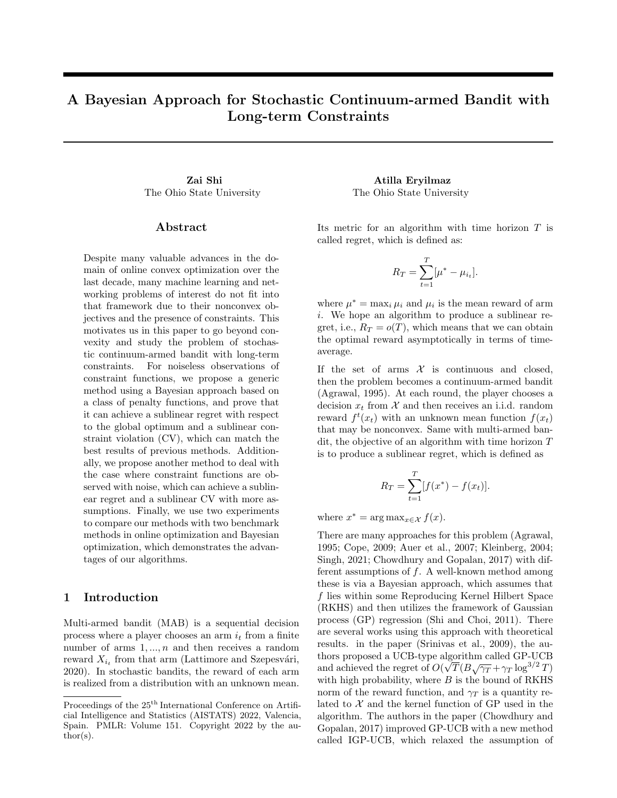# A Bayesian Approach for Stochastic Continuum-armed Bandit with Long-term Constraints

The Ohio State University The Ohio State University

#### Abstract

Despite many valuable advances in the domain of online convex optimization over the last decade, many machine learning and networking problems of interest do not fit into that framework due to their nonconvex objectives and the presence of constraints. This motivates us in this paper to go beyond convexity and study the problem of stochastic continuum-armed bandit with long-term constraints. For noiseless observations of constraint functions, we propose a generic method using a Bayesian approach based on a class of penalty functions, and prove that it can achieve a sublinear regret with respect to the global optimum and a sublinear constraint violation (CV), which can match the best results of previous methods. Additionally, we propose another method to deal with the case where constraint functions are observed with noise, which can achieve a sublinear regret and a sublinear CV with more assumptions. Finally, we use two experiments to compare our methods with two benchmark methods in online optimization and Bayesian optimization, which demonstrates the advantages of our algorithms.

# 1 Introduction

Multi-armed bandit (MAB) is a sequential decision process where a player chooses an arm  $i_t$  from a finite number of arms  $1, \ldots, n$  and then receives a random reward  $X_{i_t}$  from that arm (Lattimore and Szepesvári, 2020). In stochastic bandits, the reward of each arm is realized from a distribution with an unknown mean.

Zai Shi Atilla Eryilmaz

Its metric for an algorithm with time horizon T is called regret, which is defined as:

$$
R_T = \sum_{t=1}^T [\mu^* - \mu_{i_t}].
$$

where  $\mu^* = \max_i \mu_i$  and  $\mu_i$  is the mean reward of arm i. We hope an algorithm to produce a sublinear regret, i.e.,  $R_T = o(T)$ , which means that we can obtain the optimal reward asymptotically in terms of timeaverage.

If the set of arms  $\mathcal X$  is continuous and closed, then the problem becomes a continuum-armed bandit (Agrawal, 1995). At each round, the player chooses a decision  $x_t$  from X and then receives an i.i.d. random reward  $f^t(x_t)$  with an unknown mean function  $f(x_t)$ that may be nonconvex. Same with multi-armed bandit, the objective of an algorithm with time horizon T is to produce a sublinear regret, which is defined as

$$
R_T = \sum_{t=1}^T [f(x^*) - f(x_t)].
$$

where  $x^* = \arg \max_{x \in \mathcal{X}} f(x)$ .

There are many approaches for this problem (Agrawal, 1995; Cope, 2009; Auer et al., 2007; Kleinberg, 2004; Singh, 2021; Chowdhury and Gopalan, 2017) with different assumptions of f. A well-known method among these is via a Bayesian approach, which assumes that f lies within some Reproducing Kernel Hilbert Space (RKHS) and then utilizes the framework of Gaussian process (GP) regression (Shi and Choi, 2011). There are several works using this approach with theoretical results. in the paper (Srinivas et al., 2009), the authors proposed a UCB-type algorithm called GP-UCB and achieved the regret of  $O(\sqrt{T}(B\sqrt{\gamma_T} + \gamma_T \log^{3/2} T))$ with high probability, where  $B$  is the bound of RKHS norm of the reward function, and  $\gamma_T$  is a quantity related to  $X$  and the kernel function of GP used in the algorithm. The authors in the paper (Chowdhury and Gopalan, 2017) improved GP-UCB with a new method called IGP-UCB, which relaxed the assumption of

Proceedings of the  $25^{\text{th}}$  International Conference on Artificial Intelligence and Statistics (AISTATS) 2022, Valencia, Spain. PMLR: Volume 151. Copyright 2022 by the au- $\text{thor}(s)$ .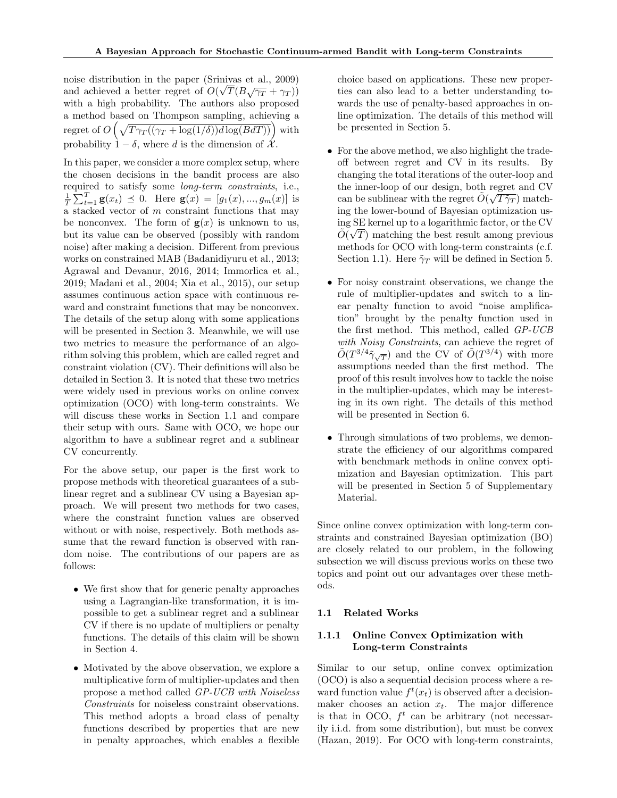noise distribution in the paper (Srinivas et al., 2009) and achieved a better regret of  $O(\sqrt{T}(B\sqrt{\gamma_T} + \gamma_T))$ with a high probability. The authors also proposed a method based on Thompson sampling, achieving a regret of  $O\left(\sqrt{T\gamma_T((\gamma_T + \log(1/\delta))d\log(BdT))}\right)$  with probability  $1 - \delta$ , where d is the dimension of  $\mathcal{X}$ .

In this paper, we consider a more complex setup, where the chosen decisions in the bandit process are also required to satisfy some long-term constraints, i.e.,  $\frac{1}{T} \sum_{t=1}^{T} \mathbf{g}(x_t) \preceq 0$ . Here  $\mathbf{g}(x) = [g_1(x), ..., g_m(x)]$  is a stacked vector of  $m$  constraint functions that may be nonconvex. The form of  $g(x)$  is unknown to us, but its value can be observed (possibly with random noise) after making a decision. Different from previous works on constrained MAB (Badanidiyuru et al., 2013; Agrawal and Devanur, 2016, 2014; Immorlica et al., 2019; Madani et al., 2004; Xia et al., 2015), our setup assumes continuous action space with continuous reward and constraint functions that may be nonconvex. The details of the setup along with some applications will be presented in Section 3. Meanwhile, we will use two metrics to measure the performance of an algorithm solving this problem, which are called regret and constraint violation (CV). Their definitions will also be detailed in Section 3. It is noted that these two metrics were widely used in previous works on online convex optimization (OCO) with long-term constraints. We will discuss these works in Section 1.1 and compare their setup with ours. Same with OCO, we hope our algorithm to have a sublinear regret and a sublinear CV concurrently.

For the above setup, our paper is the first work to propose methods with theoretical guarantees of a sublinear regret and a sublinear CV using a Bayesian approach. We will present two methods for two cases, where the constraint function values are observed without or with noise, respectively. Both methods assume that the reward function is observed with random noise. The contributions of our papers are as follows:

- We first show that for generic penalty approaches using a Lagrangian-like transformation, it is impossible to get a sublinear regret and a sublinear CV if there is no update of multipliers or penalty functions. The details of this claim will be shown in Section 4.
- Motivated by the above observation, we explore a multiplicative form of multiplier-updates and then propose a method called GP-UCB with Noiseless Constraints for noiseless constraint observations. This method adopts a broad class of penalty functions described by properties that are new in penalty approaches, which enables a flexible

choice based on applications. These new properties can also lead to a better understanding towards the use of penalty-based approaches in online optimization. The details of this method will be presented in Section 5.

- For the above method, we also highlight the tradeoff between regret and CV in its results. By changing the total iterations of the outer-loop and the inner-loop of our design, both regret and CV can be sublinear with the regret  $\tilde{O}(\sqrt{T\tilde{\gamma}_T})$  matching the lower-bound of Bayesian optimization using SE kernel up to a logarithmic factor, or the CV √  $\tilde{O}(\sqrt{T})$  matching the best result among previous methods for OCO with long-term constraints (c.f. Section 1.1). Here  $\tilde{\gamma}_T$  will be defined in Section 5.
- For noisy constraint observations, we change the rule of multiplier-updates and switch to a linear penalty function to avoid "noise amplification" brought by the penalty function used in the first method. This method, called GP-UCB with Noisy Constraints, can achieve the regret of  $\tilde{O}(T^{3/4}\tilde{\gamma}_{\sqrt{T}})$  and the CV of  $\tilde{O}(T^{3/4})$  with more assumptions needed than the first method. The proof of this result involves how to tackle the noise in the multiplier-updates, which may be interesting in its own right. The details of this method will be presented in Section 6.
- Through simulations of two problems, we demonstrate the efficiency of our algorithms compared with benchmark methods in online convex optimization and Bayesian optimization. This part will be presented in Section 5 of Supplementary Material.

Since online convex optimization with long-term constraints and constrained Bayesian optimization (BO) are closely related to our problem, in the following subsection we will discuss previous works on these two topics and point out our advantages over these methods.

#### 1.1 Related Works

## 1.1.1 Online Convex Optimization with Long-term Constraints

Similar to our setup, online convex optimization (OCO) is also a sequential decision process where a reward function value  $f^t(x_t)$  is observed after a decisionmaker chooses an action  $x_t$ . The major difference is that in OCO,  $f^t$  can be arbitrary (not necessarily i.i.d. from some distribution), but must be convex (Hazan, 2019). For OCO with long-term constraints,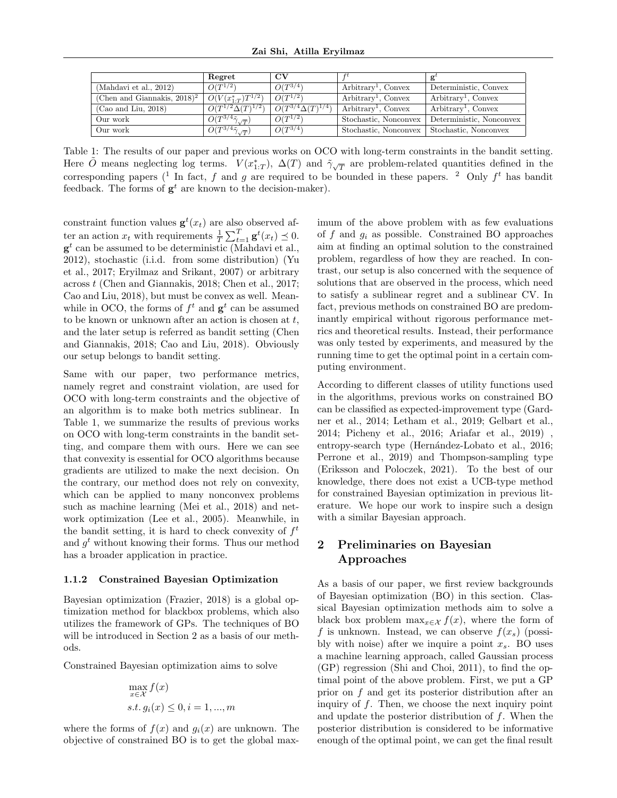|                                            | Regret                                            | $_{\rm CV}$                             |                       |                          |
|--------------------------------------------|---------------------------------------------------|-----------------------------------------|-----------------------|--------------------------|
| (Mahdavi et al., 2012)                     | $\tilde{O}(T^{1/2})$                              | $\widetilde{O}(T^{3/4})$                | $Arbitrary1$ , Convex | Deterministic, Convex    |
| (Chen and Giannakis, $2018$ ) <sup>2</sup> | $O(V(x_{1:T}^*)T^{1/2})$                          | $O(T^{1/2})$                            | $Arbitrary1$ , Convex | $Arbitrary1$ , Convex    |
| (Cao and Liu, 2018)                        | $\tilde{O}(T^{1/2}\Delta(T)^{1/2})$               | $\overline{O}(T^{3/4} \Delta(T)^{1/4})$ | $Arbitrary1$ , Convex | $Arbitrary1$ , Convex    |
| Our work                                   | $\widetilde{O}(T^{3/4}\tilde{\gamma}_{\sqrt{T}})$ | $\tilde{O}(T^{1/2})$                    | Stochastic, Nonconvex | Deterministic, Nonconvex |
| Our work                                   | $\tilde{O}(T^{3/4}\tilde{\gamma}_{\sqrt{T}})$     | $\tilde{O}(T^{3/4})$                    | Stochastic, Nonconvex | Stochastic, Nonconvex    |

Table 1: The results of our paper and previous works on OCO with long-term constraints in the bandit setting. Here  $\tilde{O}$  means neglecting log terms.  $V(x_{1:T}^*), \Delta(T)$  and  $\tilde{\gamma}_{\sqrt{T}}$  are problem-related quantities defined in the corresponding papers (<sup>1</sup> In fact, f and g are required to be bounded in these papers. <sup>2</sup> Only  $f<sup>t</sup>$  has bandit feedback. The forms of  $g^t$  are known to the decision-maker).

constraint function values  $\mathbf{g}^t(x_t)$  are also observed after an action  $x_t$  with requirements  $\frac{1}{T} \sum_{t=1}^T \mathbf{g}^t(x_t) \preceq 0$ .  $\mathbf{g}^t$  can be assumed to be deterministic (Mahdavi et al., 2012), stochastic (i.i.d. from some distribution) (Yu et al., 2017; Eryilmaz and Srikant, 2007) or arbitrary across t (Chen and Giannakis, 2018; Chen et al., 2017; Cao and Liu, 2018), but must be convex as well. Meanwhile in OCO, the forms of  $f^t$  and  $g^t$  can be assumed to be known or unknown after an action is chosen at  $t$ , and the later setup is referred as bandit setting (Chen and Giannakis, 2018; Cao and Liu, 2018). Obviously our setup belongs to bandit setting.

Same with our paper, two performance metrics, namely regret and constraint violation, are used for OCO with long-term constraints and the objective of an algorithm is to make both metrics sublinear. In Table 1, we summarize the results of previous works on OCO with long-term constraints in the bandit setting, and compare them with ours. Here we can see that convexity is essential for OCO algorithms because gradients are utilized to make the next decision. On the contrary, our method does not rely on convexity, which can be applied to many nonconvex problems such as machine learning (Mei et al., 2018) and network optimization (Lee et al., 2005). Meanwhile, in the bandit setting, it is hard to check convexity of  $f^t$ and  $g^t$  without knowing their forms. Thus our method has a broader application in practice.

#### 1.1.2 Constrained Bayesian Optimization

Bayesian optimization (Frazier, 2018) is a global optimization method for blackbox problems, which also utilizes the framework of GPs. The techniques of BO will be introduced in Section 2 as a basis of our methods.

Constrained Bayesian optimization aims to solve

$$
\max_{x \in \mathcal{X}} f(x)
$$
  
s.t.  $g_i(x) \leq 0, i = 1, ..., m$ 

where the forms of  $f(x)$  and  $g_i(x)$  are unknown. The objective of constrained BO is to get the global maximum of the above problem with as few evaluations of f and  $q_i$  as possible. Constrained BO approaches aim at finding an optimal solution to the constrained problem, regardless of how they are reached. In contrast, our setup is also concerned with the sequence of solutions that are observed in the process, which need to satisfy a sublinear regret and a sublinear CV. In fact, previous methods on constrained BO are predominantly empirical without rigorous performance metrics and theoretical results. Instead, their performance was only tested by experiments, and measured by the running time to get the optimal point in a certain computing environment.

According to different classes of utility functions used in the algorithms, previous works on constrained BO can be classified as expected-improvement type (Gardner et al., 2014; Letham et al., 2019; Gelbart et al., 2014; Picheny et al., 2016; Ariafar et al., 2019) , entropy-search type (Hernández-Lobato et al., 2016; Perrone et al., 2019) and Thompson-sampling type (Eriksson and Poloczek, 2021). To the best of our knowledge, there does not exist a UCB-type method for constrained Bayesian optimization in previous literature. We hope our work to inspire such a design with a similar Bayesian approach.

# 2 Preliminaries on Bayesian Approaches

As a basis of our paper, we first review backgrounds of Bayesian optimization (BO) in this section. Classical Bayesian optimization methods aim to solve a black box problem  $\max_{x \in \mathcal{X}} f(x)$ , where the form of f is unknown. Instead, we can observe  $f(x_s)$  (possibly with noise) after we inquire a point  $x_s$ . BO uses a machine learning approach, called Gaussian process (GP) regression (Shi and Choi, 2011), to find the optimal point of the above problem. First, we put a GP prior on f and get its posterior distribution after an inquiry of  $f$ . Then, we choose the next inquiry point and update the posterior distribution of f. When the posterior distribution is considered to be informative enough of the optimal point, we can get the final result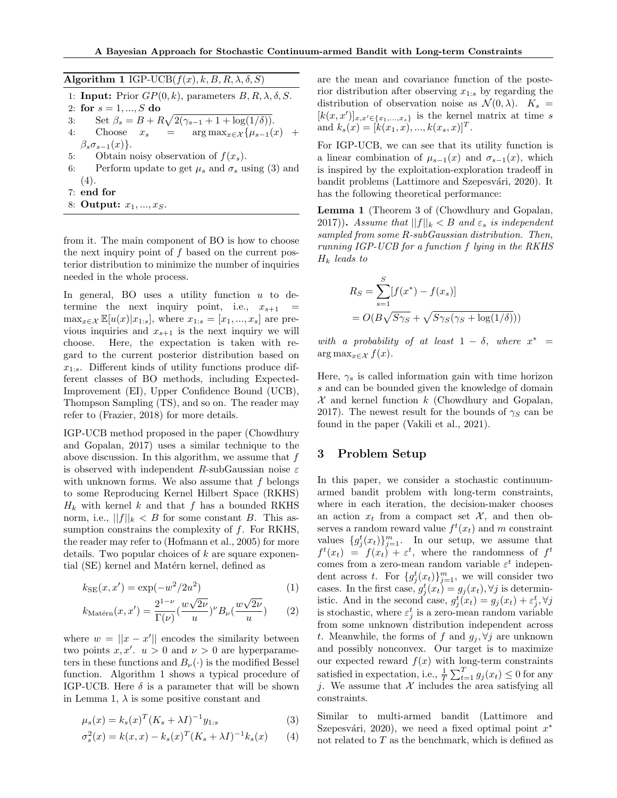| Algorithm 1 IGP-UCB $(f(x), k, B, R, \lambda, \delta, S)$                   |
|-----------------------------------------------------------------------------|
| 1: <b>Input:</b> Prior $GP(0, k)$ , parameters $B, R, \lambda, \delta, S$ . |
| 2: for $s = 1, , S$ do                                                      |
| Set $\beta_s = B + R\sqrt{2(\gamma_{s-1} + 1 + \log(1/\delta))}$ .<br>3:    |
| 4: Choose $x_s$ = $\arg \max_{x \in \mathcal{X}} {\mu_{s-1}(x)}$ +          |
| $\beta_s \sigma_{s-1}(x)$ .                                                 |
| Obtain noisy observation of $f(x_s)$ .<br>5:                                |
| Perform update to get $\mu_s$ and $\sigma_s$ using (3) and<br>6:            |
| (4).                                                                        |
| $7:$ end for                                                                |
| 8: Output: $x_1, , x_S$ .                                                   |

from it. The main component of BO is how to choose the next inquiry point of  $f$  based on the current posterior distribution to minimize the number of inquiries needed in the whole process.

In general, BO uses a utility function  $u$  to determine the next inquiry point, i.e.,  $x_{s+1}$  =  $\max_{x \in \mathcal{X}} \mathbb{E}[u(x)|x_{1:s}],$  where  $x_{1:s} = [x_1, ..., x_s]$  are previous inquiries and  $x_{s+1}$  is the next inquiry we will choose. Here, the expectation is taken with regard to the current posterior distribution based on  $x_{1:s}$ . Different kinds of utility functions produce different classes of BO methods, including Expected-Improvement (EI), Upper Confidence Bound (UCB), Thompson Sampling (TS), and so on. The reader may refer to (Frazier, 2018) for more details.

IGP-UCB method proposed in the paper (Chowdhury and Gopalan, 2017) uses a similar technique to the above discussion. In this algorithm, we assume that  $f$ is observed with independent R-subGaussian noise  $\varepsilon$ with unknown forms. We also assume that  $f$  belongs to some Reproducing Kernel Hilbert Space (RKHS)  $H_k$  with kernel k and that f has a bounded RKHS norm, i.e.,  $||f||_k < B$  for some constant B. This assumption constrains the complexity of  $f$ . For RKHS, the reader may refer to (Hofmann et al., 2005) for more details. Two popular choices of  $k$  are square exponential (SE) kernel and Matérn kernel, defined as

$$
k_{\text{SE}}(x, x') = \exp(-w^2/2u^2)
$$
\n<sup>(1)</sup>\n<sub>21– $\nu$</sub>  <sub>21/2</sub>/2 $\nu$  <sub>21/2</sub>/2 $\nu$ 

$$
k_{\text{Matérn}}(x, x') = \frac{2^{1-\nu}}{\Gamma(\nu)} \left(\frac{w\sqrt{2\nu}}{u}\right)^{\nu} B_{\nu}\left(\frac{w\sqrt{2\nu}}{u}\right) \tag{2}
$$

where  $w = ||x - x'||$  encodes the similarity between two points  $x, x'$ .  $u > 0$  and  $\nu > 0$  are hyperparameters in these functions and  $B_{\nu}(\cdot)$  is the modified Bessel function. Algorithm 1 shows a typical procedure of IGP-UCB. Here  $\delta$  is a parameter that will be shown in Lemma 1,  $\lambda$  is some positive constant and

$$
\mu_s(x) = k_s(x)^T (K_s + \lambda I)^{-1} y_{1:s} \tag{3}
$$

$$
\sigma_s^2(x) = k(x, x) - k_s(x)^T (K_s + \lambda I)^{-1} k_s(x)
$$
 (4)

are the mean and covariance function of the posterior distribution after observing  $x_{1:s}$  by regarding the distribution of observation noise as  $\mathcal{N}(0, \lambda)$ .  $K_s =$  $[k(x, x')]_{x, x' \in \{x_1,...,x_s\}}$  is the kernel matrix at time s and  $k_s(x) = [k(x_1, x), ..., k(x_s, x)]^T$ .

For IGP-UCB, we can see that its utility function is a linear combination of  $\mu_{s-1}(x)$  and  $\sigma_{s-1}(x)$ , which is inspired by the exploitation-exploration tradeoff in bandit problems (Lattimore and Szepesvári, 2020). It has the following theoretical performance:

Lemma 1 (Theorem 3 of (Chowdhury and Gopalan, 2017)). Assume that  $||f||_k < B$  and  $\varepsilon_s$  is independent sampled from some R-subGaussian distribution. Then, running IGP-UCB for a function f lying in the RKHS  $H_k$  leads to

$$
R_S = \sum_{s=1}^{S} [f(x^*) - f(x_s)]
$$
  
=  $O(B\sqrt{S\gamma_S} + \sqrt{S\gamma_S(\gamma_S + \log(1/\delta))})$ 

with a probability of at least  $1 - \delta$ , where  $x^* =$ arg max $x \in \mathcal{X}$   $f(x)$ .

Here,  $\gamma_s$  is called information gain with time horizon s and can be bounded given the knowledge of domain  $\mathcal X$  and kernel function  $k$  (Chowdhury and Gopalan, 2017). The newest result for the bounds of  $\gamma_s$  can be found in the paper (Vakili et al., 2021).

# 3 Problem Setup

In this paper, we consider a stochastic continuumarmed bandit problem with long-term constraints, where in each iteration, the decision-maker chooses an action  $x_t$  from a compact set X, and then observes a random reward value  $f^t(x_t)$  and m constraint values  $\{g_j^t(x_t)\}_{j=1}^m$ . In our setup, we assume that  $f^t(x_t) = f(x_t) + \varepsilon^t$ , where the randomness of  $f^t$ comes from a zero-mean random variable  $\varepsilon^t$  independent across t. For  $\{g_j^t(x_t)\}_{j=1}^m$ , we will consider two cases. In the first case,  $g_j^t(x_t) = g_j(x_t)$ ,  $\forall j$  is deterministic. And in the second case,  $g_j^t(x_t) = g_j(x_t) + \varepsilon_j^t$ ,  $\forall j$ is stochastic, where  $\varepsilon_j^t$  is a zero-mean random variable from some unknown distribution independent across t. Meanwhile, the forms of f and  $g_i, \forall j$  are unknown and possibly nonconvex. Our target is to maximize our expected reward  $f(x)$  with long-term constraints satisfied in expectation, i.e.,  $\frac{1}{T} \sum_{t=1}^{T} g_j(x_t) \leq 0$  for any j. We assume that  $\mathcal X$  includes the area satisfying all constraints.

Similar to multi-armed bandit (Lattimore and Szepesvári, 2020), we need a fixed optimal point  $x^*$ not related to  $T$  as the benchmark, which is defined as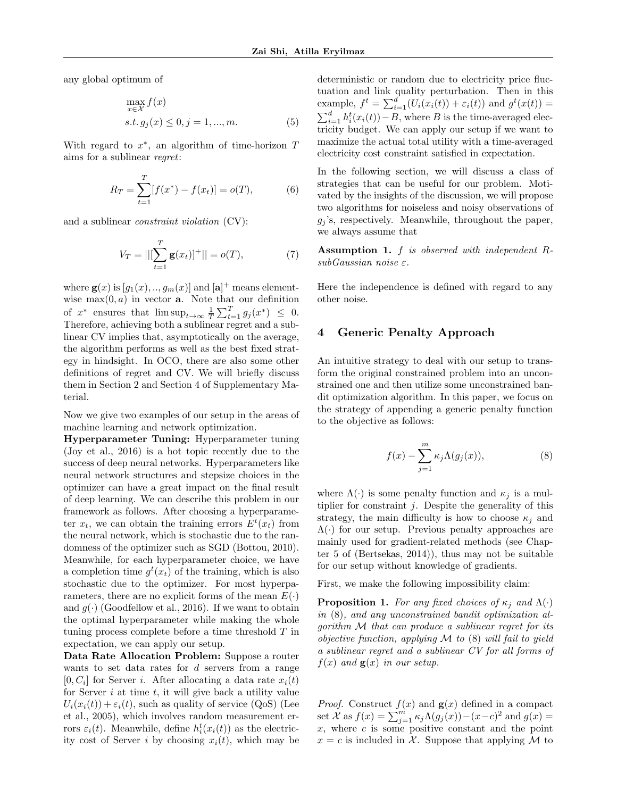any global optimum of

$$
\max_{x \in \mathcal{X}} f(x)
$$
  
s.t.  $g_j(x) \le 0, j = 1, ..., m.$  (5)

With regard to  $x^*$ , an algorithm of time-horizon  $T$ aims for a sublinear regret:

$$
R_T = \sum_{t=1}^T [f(x^*) - f(x_t)] = o(T),
$$
 (6)

and a sublinear constraint violation (CV):

$$
V_T = ||[\sum_{t=1}^T \mathbf{g}(x_t)]^+|| = o(T), \tag{7}
$$

where  $\mathbf{g}(x)$  is  $[g_1(x),..,g_m(x)]$  and  $[\mathbf{a}]^+$  means elementwise  $max(0, a)$  in vector **a**. Note that our definition of  $x^*$  ensures that  $\limsup_{t\to\infty} \frac{1}{T} \sum_{t=1}^T g_j(x^*) \leq 0$ . Therefore, achieving both a sublinear regret and a sublinear CV implies that, asymptotically on the average, the algorithm performs as well as the best fixed strategy in hindsight. In OCO, there are also some other definitions of regret and CV. We will briefly discuss them in Section 2 and Section 4 of Supplementary Material.

Now we give two examples of our setup in the areas of machine learning and network optimization.

Hyperparameter Tuning: Hyperparameter tuning (Joy et al., 2016) is a hot topic recently due to the success of deep neural networks. Hyperparameters like neural network structures and stepsize choices in the optimizer can have a great impact on the final result of deep learning. We can describe this problem in our framework as follows. After choosing a hyperparameter  $x_t$ , we can obtain the training errors  $E^t(x_t)$  from the neural network, which is stochastic due to the randomness of the optimizer such as SGD (Bottou, 2010). Meanwhile, for each hyperparameter choice, we have a completion time  $g^t(x_t)$  of the training, which is also stochastic due to the optimizer. For most hyperparameters, there are no explicit forms of the mean  $E(\cdot)$ and  $g(\cdot)$  (Goodfellow et al., 2016). If we want to obtain the optimal hyperparameter while making the whole tuning process complete before a time threshold T in expectation, we can apply our setup.

Data Rate Allocation Problem: Suppose a router wants to set data rates for d servers from a range  $[0, C_i]$  for Server *i*. After allocating a data rate  $x_i(t)$ for Server  $i$  at time  $t$ , it will give back a utility value  $U_i(x_i(t)) + \varepsilon_i(t)$ , such as quality of service (QoS) (Lee et al., 2005), which involves random measurement errors  $\varepsilon_i(t)$ . Meanwhile, define  $h_i^t(x_i(t))$  as the electricity cost of Server *i* by choosing  $x_i(t)$ , which may be deterministic or random due to electricity price fluctuation and link quality perturbation. Then in this example,  $f^t = \sum_{i=1}^d (U_i(x_i(t)) + \varepsilon_i(t))$  and  $g^t(x(t)) =$  $\sum_{i=1}^{d} h_i^t(x_i(t)) - B$ , where B is the time-averaged electricity budget. We can apply our setup if we want to maximize the actual total utility with a time-averaged electricity cost constraint satisfied in expectation.

In the following section, we will discuss a class of strategies that can be useful for our problem. Motivated by the insights of the discussion, we will propose two algorithms for noiseless and noisy observations of  $g_i$ 's, respectively. Meanwhile, throughout the paper, we always assume that

Assumption 1. f is observed with independent RsubGaussian noise ε.

Here the independence is defined with regard to any other noise.

# 4 Generic Penalty Approach

An intuitive strategy to deal with our setup to transform the original constrained problem into an unconstrained one and then utilize some unconstrained bandit optimization algorithm. In this paper, we focus on the strategy of appending a generic penalty function to the objective as follows:

$$
f(x) - \sum_{j=1}^{m} \kappa_j \Lambda(g_j(x)),
$$
 (8)

where  $\Lambda(\cdot)$  is some penalty function and  $\kappa_i$  is a multiplier for constraint  $j$ . Despite the generality of this strategy, the main difficulty is how to choose  $\kappa_i$  and  $\Lambda(\cdot)$  for our setup. Previous penalty approaches are mainly used for gradient-related methods (see Chapter 5 of (Bertsekas, 2014)), thus may not be suitable for our setup without knowledge of gradients.

First, we make the following impossibility claim:

**Proposition 1.** For any fixed choices of  $\kappa_j$  and  $\Lambda(\cdot)$ in (8), and any unconstrained bandit optimization algorithm M that can produce a sublinear regret for its objective function, applying  $M$  to  $(8)$  will fail to yield a sublinear regret and a sublinear CV for all forms of  $f(x)$  and  $g(x)$  in our setup.

*Proof.* Construct  $f(x)$  and  $g(x)$  defined in a compact set  $\mathcal{X}$  as  $f(x) = \sum_{j=1}^{m} \kappa_j \Lambda(g_j(x)) - (x-c)^2$  and  $g(x) =$  $x$ , where  $c$  is some positive constant and the point  $x = c$  is included in X. Suppose that applying M to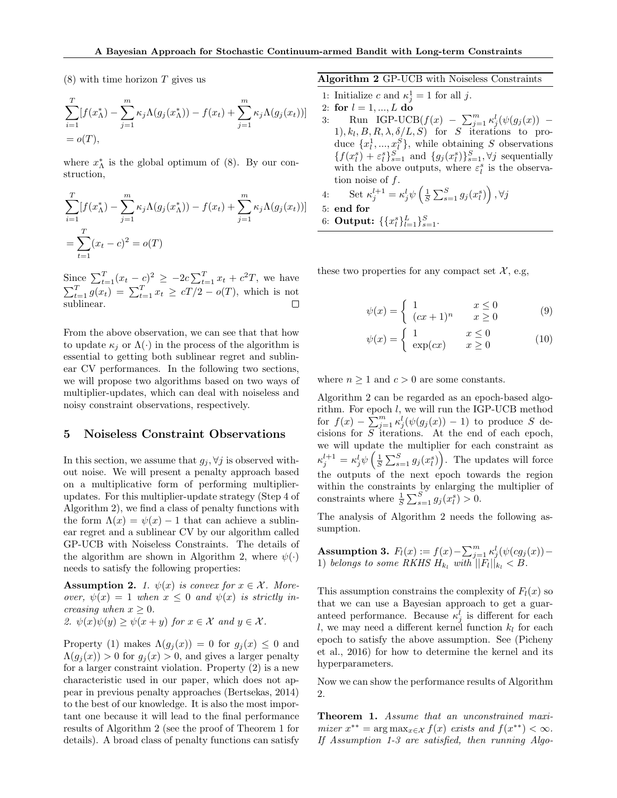$(8)$  with time horizon T gives us

$$
\sum_{i=1}^{T} [f(x_{\Lambda}^{*}) - \sum_{j=1}^{m} \kappa_{j} \Lambda(g_{j}(x_{\Lambda}^{*})) - f(x_{t}) + \sum_{j=1}^{m} \kappa_{j} \Lambda(g_{j}(x_{t}))]
$$
  
=  $o(T)$ ,

where  $x_{\Lambda}^*$  is the global optimum of (8). By our construction,

$$
\sum_{i=1}^{T} [f(x_{\Lambda}^{*}) - \sum_{j=1}^{m} \kappa_{j} \Lambda(g_{j}(x_{\Lambda}^{*})) - f(x_{t}) + \sum_{j=1}^{m} \kappa_{j} \Lambda(g_{j}(x_{t}))]
$$
  
= 
$$
\sum_{t=1}^{T} (x_{t} - c)^{2} = o(T)
$$

Since  $\sum_{t=1}^{T} (x_t - c)^2 \ge -2c \sum_{t=1}^{T} x_t + c^2 T$ , we have  $\sum_{t=1}^{T} g(x_t) = \sum_{t=1}^{T} x_t \ge cT/2 - o(T)$ , which is not sublinear.

From the above observation, we can see that that how to update  $\kappa_i$  or  $\Lambda(\cdot)$  in the process of the algorithm is essential to getting both sublinear regret and sublinear CV performances. In the following two sections, we will propose two algorithms based on two ways of multiplier-updates, which can deal with noiseless and noisy constraint observations, respectively.

### 5 Noiseless Constraint Observations

In this section, we assume that  $g_i, \forall j$  is observed without noise. We will present a penalty approach based on a multiplicative form of performing multiplierupdates. For this multiplier-update strategy (Step 4 of Algorithm 2), we find a class of penalty functions with the form  $\Lambda(x) = \psi(x) - 1$  that can achieve a sublinear regret and a sublinear CV by our algorithm called GP-UCB with Noiseless Constraints. The details of the algorithm are shown in Algorithm 2, where  $\psi(\cdot)$ needs to satisfy the following properties:

**Assumption 2.** 1.  $\psi(x)$  is convex for  $x \in \mathcal{X}$ . Moreover,  $\psi(x) = 1$  when  $x \leq 0$  and  $\psi(x)$  is strictly increasing when  $x \geq 0$ .

2.  $\psi(x)\psi(y) \geq \psi(x+y)$  for  $x \in \mathcal{X}$  and  $y \in \mathcal{X}$ .

Property (1) makes  $\Lambda(g_i(x)) = 0$  for  $g_i(x) \leq 0$  and  $\Lambda(q_i(x)) > 0$  for  $q_i(x) > 0$ , and gives a larger penalty for a larger constraint violation. Property (2) is a new characteristic used in our paper, which does not appear in previous penalty approaches (Bertsekas, 2014) to the best of our knowledge. It is also the most important one because it will lead to the final performance results of Algorithm 2 (see the proof of Theorem 1 for details). A broad class of penalty functions can satisfy Algorithm 2 GP-UCB with Noiseless Constraints

- 1: Initialize c and  $\kappa_j^1 = 1$  for all j.
- 2: for  $l = 1, ..., L$  do
- 3: Run IGP-UCB $(f(x) \sum_{j=1}^{m} \kappa_j^l(\psi(g_j(x)) 1), k_l, B, R, \lambda, \delta/L, S$  for S iterations to produce  $\{x_l^1, ..., x_l^S\}$ , while obtaining S observations  ${f(x_i^s) + \varepsilon_i^s}_{s=1}^S$  and  ${g_j(x_i^s)}_{s=1}^S$ ,  $\forall j$  sequentially with the above outputs, where  $\varepsilon_l^s$  is the observation noise of  $f$ .
- 4: Set  $\kappa_j^{l+1} = \kappa_j^l \psi\left(\frac{1}{S} \sum_{s=1}^S g_j(x_i^s)\right), \forall j$ 5: end for 6: Output:  $\{\{x_i^s\}_{l=1}^L\}_{s=1}^S$ .

these two properties for any compact set  $\mathcal{X}$ , e.g,

$$
\psi(x) = \begin{cases} 1 & x \le 0 \\ (cx+1)^n & x \ge 0 \end{cases}
$$
 (9)

$$
\psi(x) = \begin{cases} 1 & x \le 0 \\ \exp(cx) & x \ge 0 \end{cases}
$$
 (10)

where  $n \geq 1$  and  $c > 0$  are some constants.

Algorithm 2 can be regarded as an epoch-based algorithm. For epoch l, we will run the IGP-UCB method for  $f(x) - \sum_{j=1}^{m} \kappa_j^l(\psi(g_j(x)) - 1)$  to produce S decisions for S iterations. At the end of each epoch, we will update the multiplier for each constraint as  $\kappa_j^{l+1} = \kappa_j^l \psi\left(\frac{1}{S} \sum_{s=1}^S g_j(x_l^s)\right)$ . The updates will force the outputs of the next epoch towards the region within the constraints by enlarging the multiplier of constraints where  $\frac{1}{S} \sum_{s=1}^{S} g_j(x_i^s) > 0$ .

The analysis of Algorithm 2 needs the following assumption.

Assumption 3.  $F_l(x) := f(x) - \sum_{j=1}^m \kappa_j^l(\psi(cg_j(x)) -$ 1) belongs to some RKHS  $H_{k_l}$  with  $||F_l||_{k_l} < B$ .

This assumption constrains the complexity of  $F_l(x)$  so that we can use a Bayesian approach to get a guaranteed performance. Because  $\kappa_j^l$  is different for each l, we may need a different kernel function  $k_l$  for each epoch to satisfy the above assumption. See (Picheny et al., 2016) for how to determine the kernel and its hyperparameters.

Now we can show the performance results of Algorithm 2.

Theorem 1. Assume that an unconstrained maximizer  $x^{**} = \arg \max_{x \in \mathcal{X}} f(x)$  exists and  $f(x^{**}) < \infty$ . If Assumption 1-3 are satisfied, then running Algo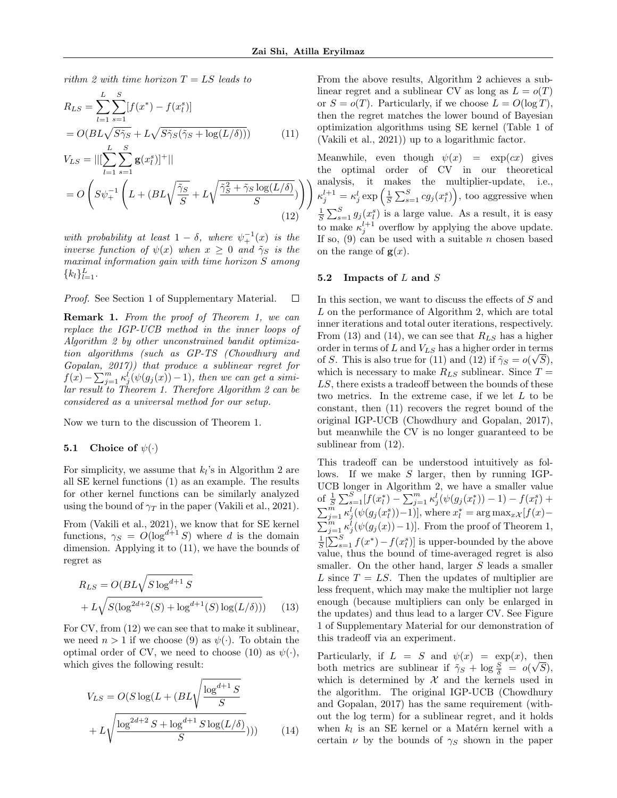rithm 2 with time horizon  $T = LS$  leads to

$$
R_{LS} = \sum_{l=1}^{L} \sum_{s=1}^{S} [f(x^*) - f(x_l^s)]
$$
  
=  $O(BL\sqrt{S\tilde{\gamma}_S} + L\sqrt{S\tilde{\gamma}_S(\tilde{\gamma}_S + \log(L/\delta))})$  (11)

$$
V_{LS} = ||[\sum_{l=1}^{N} \sum_{s=1}^{N} \mathbf{g}(x_l^s)]^+||
$$
  
=  $O\left(S\psi_+^{-1}\left(L + (BL\sqrt{\frac{\tilde{\gamma}_S}{S}} + L\sqrt{\frac{\tilde{\gamma}_S^2 + \tilde{\gamma}_S \log(L/\delta)}{S}})\right)\right)$  (12)

with probability at least  $1 - \delta$ , where  $\psi_+^{-1}(x)$  is the inverse function of  $\psi(x)$  when  $x \geq 0$  and  $\tilde{\gamma}_S$  is the maximal information gain with time horizon S among  ${k_l}_{l=1}^L$ .

Proof. See Section 1 of Supplementary Material.  $\Box$ 

Remark 1. From the proof of Theorem 1, we can replace the IGP-UCB method in the inner loops of Algorithm 2 by other unconstrained bandit optimization algorithms (such as GP-TS (Chowdhury and Gopalan, 2017)) that produce a sublinear regret for  $f(x) - \sum_{j=1}^{m} \kappa_j^{i'}(\psi(g_j(x)) - 1)$ , then we can get a similar result to Theorem 1. Therefore Algorithm 2 can be considered as a universal method for our setup.

Now we turn to the discussion of Theorem 1.

#### **5.1** Choice of  $\psi(\cdot)$

For simplicity, we assume that  $k_l$ 's in Algorithm 2 are all SE kernel functions (1) as an example. The results for other kernel functions can be similarly analyzed using the bound of  $\gamma_T$  in the paper (Vakili et al., 2021).

From (Vakili et al., 2021), we know that for SE kernel functions,  $\gamma_S = O(\log^{d+1} S)$  where d is the domain dimension. Applying it to (11), we have the bounds of regret as

$$
R_{LS} = O(BL\sqrt{S\log^{d+1}S} + L\sqrt{S(\log^{2d+2}(S) + \log^{d+1}(S)\log(L/\delta))})
$$
 (13)

For CV, from (12) we can see that to make it sublinear, we need  $n > 1$  if we choose (9) as  $\psi(\cdot)$ . To obtain the optimal order of CV, we need to choose (10) as  $\psi(\cdot)$ , which gives the following result:

$$
V_{LS} = O(S \log(L + (BL\sqrt{\frac{\log^{d+1} S}{S}} + L\sqrt{\frac{\log^{2d+2} S + \log^{d+1} S \log(L/\delta)}{S}})))
$$
(14)

From the above results, Algorithm 2 achieves a sublinear regret and a sublinear CV as long as  $L = o(T)$ or  $S = o(T)$ . Particularly, if we choose  $L = O(\log T)$ , then the regret matches the lower bound of Bayesian optimization algorithms using SE kernel (Table 1 of (Vakili et al., 2021)) up to a logarithmic factor.

Meanwhile, even though  $\psi(x) = \exp(cx)$  gives the optimal order of CV in our theoretical analysis, it makes the multiplier-update, i.e.,  $\kappa_j^{l+1} = \kappa_j^l \exp\left(\frac{1}{S} \sum_{s=1}^S c g_j(x_l^s)\right)$ , too aggressive when  $\frac{1}{S}\sum_{s=1}^{S} g_j(x_i^s)$  is a large value. As a result, it is easy to make  $\kappa_j^{l+1}$  overflow by applying the above update. If so,  $(9)$  can be used with a suitable *n* chosen based on the range of  $g(x)$ .

#### 5.2 Impacts of  $L$  and  $S$

In this section, we want to discuss the effects of S and L on the performance of Algorithm 2, which are total inner iterations and total outer iterations, respectively. From (13) and (14), we can see that  $R_{LS}$  has a higher order in terms of L and  $V_{LS}$  has a higher order in terms of S. This is also true for (11) and (12) if  $\tilde{\gamma}_S = o(\sqrt{S}),$ which is necessary to make  $R_{LS}$  sublinear. Since  $T =$ LS, there exists a tradeoff between the bounds of these two metrics. In the extreme case, if we let L to be constant, then (11) recovers the regret bound of the original IGP-UCB (Chowdhury and Gopalan, 2017), but meanwhile the CV is no longer guaranteed to be sublinear from (12).

This tradeoff can be understood intuitively as follows. If we make  $S$  larger, then by running IGP-UCB longer in Algorithm 2, we have a smaller value of  $\frac{1}{S}\sum_{s=1}^{S} [f(x_i^*) - \sum_{j=1}^{m} \kappa_j^l(\psi(g_j(x_i^*)) - 1) - f(x_i^s) +$  $\sum_{j=1}^{\widetilde{m}} \kappa_j^l(\psi(g_j(x_l^s))-1)$ , where  $x_l^* = \arg \max_{x \mathcal{X}} [f(x)-1]$  $\sum_{j=1}^{m} \kappa_j^{l}(\psi(g_j(x))-1)$ . From the proof of Theorem 1,  $\frac{1}{S}[\sum_{s=1}^{S} f(x^{*}) - f(x_{l}^{s})]$  is upper-bounded by the above value, thus the bound of time-averaged regret is also smaller. On the other hand, larger S leads a smaller L since  $T = LS$ . Then the updates of multiplier are less frequent, which may make the multiplier not large enough (because multipliers can only be enlarged in the updates) and thus lead to a larger CV. See Figure 1 of Supplementary Material for our demonstration of this tradeoff via an experiment.

Particularly, if  $L = S$  and  $\psi(x) = \exp(x)$ , then both metrics are sublinear if  $\tilde{\gamma}_S + \log \frac{S}{\delta} = o(\sqrt{S}),$ which is determined by  $\mathcal X$  and the kernels used in the algorithm. The original IGP-UCB (Chowdhury and Gopalan, 2017) has the same requirement (without the log term) for a sublinear regret, and it holds when  $k_l$  is an SE kernel or a Matérn kernel with a certain  $\nu$  by the bounds of  $\gamma_S$  shown in the paper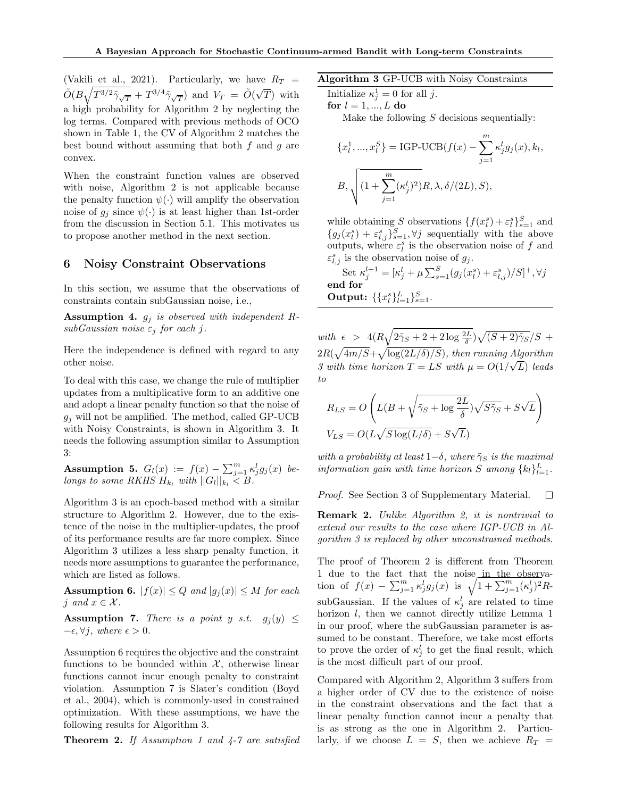(Vakili et al., 2021). Particularly, we have  $R_T =$  $\tilde{O}(B\sqrt{T^{3/2}\tilde{\gamma}_{\sqrt{T}}}+T^{3/4}\tilde{\gamma}_{\sqrt{T}})$  and  $V_T = \tilde{O}(\sqrt{T}$ T) with a high probability for Algorithm 2 by neglecting the log terms. Compared with previous methods of OCO shown in Table 1, the CV of Algorithm 2 matches the best bound without assuming that both  $f$  and  $g$  are convex.

When the constraint function values are observed with noise, Algorithm 2 is not applicable because the penalty function  $\psi(\cdot)$  will amplify the observation noise of  $g_i$  since  $\psi(\cdot)$  is at least higher than 1st-order from the discussion in Section 5.1. This motivates us to propose another method in the next section.

# 6 Noisy Constraint Observations

In this section, we assume that the observations of constraints contain subGaussian noise, i.e.,

**Assumption 4.**  $g_i$  is observed with independent R $subGaussian\ noise\ \varepsilon_i\ for\ each\ j.$ 

Here the independence is defined with regard to any other noise.

To deal with this case, we change the rule of multiplier updates from a multiplicative form to an additive one and adopt a linear penalty function so that the noise of  $q_i$  will not be amplified. The method, called GP-UCB with Noisy Constraints, is shown in Algorithm 3. It needs the following assumption similar to Assumption 3:

Assumption 5.  $G_l(x) := f(x) - \sum_{j=1}^m \kappa_j^l g_j(x)$  belongs to some RKHS  $H_{k_l}$  with  $||G_l||_{k_l} < B$ .

Algorithm 3 is an epoch-based method with a similar structure to Algorithm 2. However, due to the existence of the noise in the multiplier-updates, the proof of its performance results are far more complex. Since Algorithm 3 utilizes a less sharp penalty function, it needs more assumptions to guarantee the performance, which are listed as follows.

**Assumption 6.**  $|f(x)| \leq Q$  and  $|g_j(x)| \leq M$  for each j and  $x \in \mathcal{X}$ .

**Assumption 7.** There is a point y s.t.  $g_j(y) \leq$  $-\epsilon, \forall j, where \epsilon > 0.$ 

Assumption 6 requires the objective and the constraint functions to be bounded within  $\mathcal{X}$ , otherwise linear functions cannot incur enough penalty to constraint violation. Assumption 7 is Slater's condition (Boyd et al., 2004), which is commonly-used in constrained optimization. With these assumptions, we have the following results for Algorithm 3.

**Theorem 2.** If Assumption 1 and  $\frac{1}{4}$ -7 are satisfied

Algorithm 3 GP-UCB with Noisy Constraints

Initialize  $\kappa_j^1 = 0$  for all j. for  $l = 1, ..., L$  do Make the following  $S$  decisions sequentially:

$$
\{x_l^1, ..., x_l^S\} = \text{IGP-UCB}(f(x) - \sum_{j=1}^m \kappa_j^l g_j(x), k_l,
$$

$$
B, \sqrt{(1 + \sum_{j=1}^m (\kappa_j^l)^2)R, \lambda, \delta/(2L), S)},
$$

while obtaining S observations  $\{f(x_i^s) + \varepsilon_i^s\}_{s=1}^S$  and  ${g_j(x_i^s) + \varepsilon_{l,j}^s}_{s=1}^S, \forall j$  sequentially with the above outputs, where  $\varepsilon_l^s$  is the observation noise of f and  $\varepsilon_{l,j}^s$  is the observation noise of  $g_j$ .

Set 
$$
\kappa_j^{l+1} = [\kappa_j^l + \mu \sum_{s=1}^S (g_j(x_l^s) + \varepsilon_{l,j}^s)/S]^+, \forall j
$$
  
end for  
Output:  $\{\{x_l^s\}_{l=1}^L\}_{s=1}^S$ .

with  $\epsilon$  >  $4(R\sqrt{2\tilde{\gamma}_S+2+2\log\frac{2L}{\delta}})\sqrt{(S+2)\tilde{\gamma}_S}/S$  +  $2R(\sqrt{4m/S}+\sqrt{\log(2L/\delta)/S})$ , then running Algorithm 3 with time horizon  $T = LS$  with  $\mu = O(1/\sqrt{L})$  leads to

$$
\begin{split} R_{LS} &= O\left(L(B+\sqrt{\tilde{\gamma}_S+\log\frac{2L}{\delta}})\sqrt{S\tilde{\gamma}_S}+S\sqrt{L}\right)\\ V_{LS} &= O(L\sqrt{S\log(L/\delta)}+S\sqrt{L}) \end{split}
$$

with a probability at least  $1-\delta$ , where  $\tilde{\gamma}_S$  is the maximal information gain with time horizon S among  $\{k_l\}_{l=1}^L$ .

Proof. See Section 3 of Supplementary Material.  $\Box$ 

Remark 2. Unlike Algorithm 2, it is nontrivial to extend our results to the case where IGP-UCB in Algorithm 3 is replaced by other unconstrained methods.

The proof of Theorem 2 is different from Theorem 1 due to the fact that the noise in the observation of  $f(x) - \sum_{j=1}^{m} \kappa_j^l g_j(x)$  is  $\sqrt{1 + \sum_{j=1}^{m} (\kappa_j^l)^2} R$ subGaussian. If the values of  $\kappa_j^l$  are related to time horizon  $l$ , then we cannot directly utilize Lemma 1 in our proof, where the subGaussian parameter is assumed to be constant. Therefore, we take most efforts to prove the order of  $\kappa_j^l$  to get the final result, which is the most difficult part of our proof.

Compared with Algorithm 2, Algorithm 3 suffers from a higher order of CV due to the existence of noise in the constraint observations and the fact that a linear penalty function cannot incur a penalty that is as strong as the one in Algorithm 2. Particularly, if we choose  $L = S$ , then we achieve  $R_T =$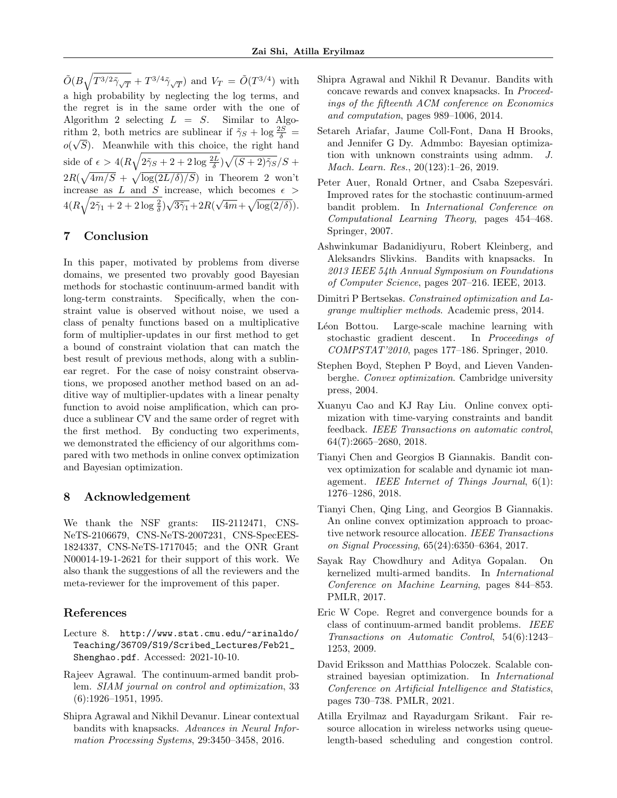$\tilde{O}(B\sqrt{T^{3/2}\tilde{\gamma}_{\sqrt{T}}}+T^{3/4}\tilde{\gamma}_{\sqrt{T}})$  and  $V_T = \tilde{O}(T^{3/4})$  with a high probability by neglecting the log terms, and the regret is in the same order with the one of Algorithm 2 selecting  $L = S$ . Similar to Algorithm 2, both metrics are sublinear if  $\tilde{\gamma}_S + \log \frac{2S}{\delta} =$  $o(\sqrt{S})$ . Meanwhile with this choice, the right hand side of  $\epsilon > 4(R\sqrt{2\tilde{\gamma}_S + 2 + 2\log{\frac{2L}{\delta}}})\sqrt{(S+2)\tilde{\gamma}_S}/S +$  $2R(\sqrt{4m/S} + \sqrt{\log(2L/\delta)/S})$  in Theorem 2 won't increase as  $L$  and  $S$  increase, which becomes  $\epsilon$  $4(R\sqrt{2\tilde{\gamma}_1+2+2\log\frac{2}{\delta}})\sqrt{3\tilde{\gamma}_1}+2R($ √  $\overline{4m} + \sqrt{\log(2/\delta)}$ .

# 7 Conclusion

In this paper, motivated by problems from diverse domains, we presented two provably good Bayesian methods for stochastic continuum-armed bandit with long-term constraints. Specifically, when the constraint value is observed without noise, we used a class of penalty functions based on a multiplicative form of multiplier-updates in our first method to get a bound of constraint violation that can match the best result of previous methods, along with a sublinear regret. For the case of noisy constraint observations, we proposed another method based on an additive way of multiplier-updates with a linear penalty function to avoid noise amplification, which can produce a sublinear CV and the same order of regret with the first method. By conducting two experiments, we demonstrated the efficiency of our algorithms compared with two methods in online convex optimization and Bayesian optimization.

# 8 Acknowledgement

We thank the NSF grants: IIS-2112471, CNS-NeTS-2106679, CNS-NeTS-2007231, CNS-SpecEES-1824337, CNS-NeTS-1717045; and the ONR Grant N00014-19-1-2621 for their support of this work. We also thank the suggestions of all the reviewers and the meta-reviewer for the improvement of this paper.

## References

- Lecture 8. http://www.stat.cmu.edu/~arinaldo/ Teaching/36709/S19/Scribed\_Lectures/Feb21\_ Shenghao.pdf. Accessed: 2021-10-10.
- Rajeev Agrawal. The continuum-armed bandit problem. SIAM journal on control and optimization, 33 (6):1926–1951, 1995.
- Shipra Agrawal and Nikhil Devanur. Linear contextual bandits with knapsacks. Advances in Neural Information Processing Systems, 29:3450–3458, 2016.
- Shipra Agrawal and Nikhil R Devanur. Bandits with concave rewards and convex knapsacks. In Proceedings of the fifteenth ACM conference on Economics and computation, pages 989–1006, 2014.
- Setareh Ariafar, Jaume Coll-Font, Dana H Brooks, and Jennifer G Dy. Admmbo: Bayesian optimization with unknown constraints using admm. J. Mach. Learn. Res., 20(123):1–26, 2019.
- Peter Auer, Ronald Ortner, and Csaba Szepesvári. Improved rates for the stochastic continuum-armed bandit problem. In International Conference on Computational Learning Theory, pages 454–468. Springer, 2007.
- Ashwinkumar Badanidiyuru, Robert Kleinberg, and Aleksandrs Slivkins. Bandits with knapsacks. In 2013 IEEE 54th Annual Symposium on Foundations of Computer Science, pages 207–216. IEEE, 2013.
- Dimitri P Bertsekas. Constrained optimization and Lagrange multiplier methods. Academic press, 2014.
- Léon Bottou. Large-scale machine learning with stochastic gradient descent. In Proceedings of COMPSTAT'2010, pages 177–186. Springer, 2010.
- Stephen Boyd, Stephen P Boyd, and Lieven Vandenberghe. Convex optimization. Cambridge university press, 2004.
- Xuanyu Cao and KJ Ray Liu. Online convex optimization with time-varying constraints and bandit feedback. IEEE Transactions on automatic control, 64(7):2665–2680, 2018.
- Tianyi Chen and Georgios B Giannakis. Bandit convex optimization for scalable and dynamic iot management. IEEE Internet of Things Journal, 6(1): 1276–1286, 2018.
- Tianyi Chen, Qing Ling, and Georgios B Giannakis. An online convex optimization approach to proactive network resource allocation. IEEE Transactions on Signal Processing, 65(24):6350–6364, 2017.
- Sayak Ray Chowdhury and Aditya Gopalan. On kernelized multi-armed bandits. In International Conference on Machine Learning, pages 844–853. PMLR, 2017.
- Eric W Cope. Regret and convergence bounds for a class of continuum-armed bandit problems. IEEE Transactions on Automatic Control, 54(6):1243– 1253, 2009.
- David Eriksson and Matthias Poloczek. Scalable constrained bayesian optimization. In International Conference on Artificial Intelligence and Statistics, pages 730–738. PMLR, 2021.
- Atilla Eryilmaz and Rayadurgam Srikant. Fair resource allocation in wireless networks using queuelength-based scheduling and congestion control.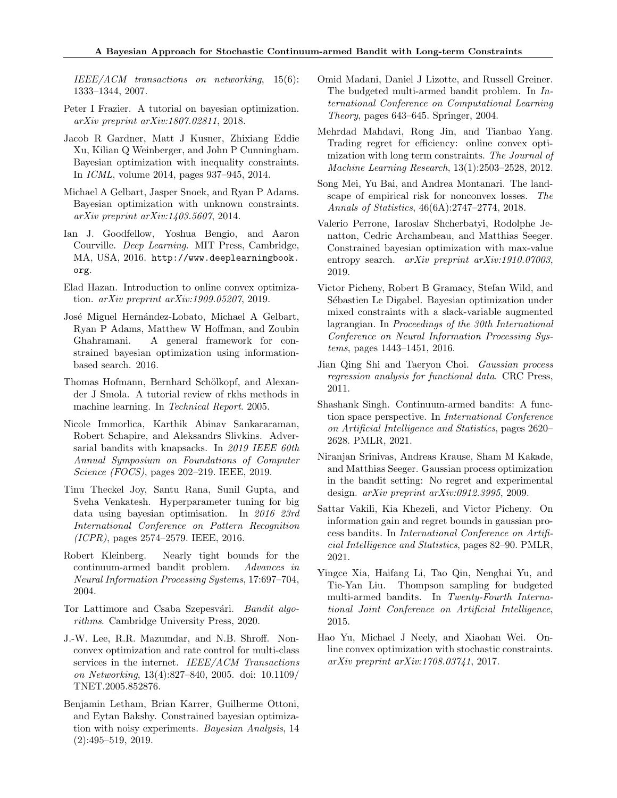IEEE/ACM transactions on networking, 15(6): 1333–1344, 2007.

- Peter I Frazier. A tutorial on bayesian optimization. arXiv preprint arXiv:1807.02811, 2018.
- Jacob R Gardner, Matt J Kusner, Zhixiang Eddie Xu, Kilian Q Weinberger, and John P Cunningham. Bayesian optimization with inequality constraints. In ICML, volume 2014, pages 937–945, 2014.
- Michael A Gelbart, Jasper Snoek, and Ryan P Adams. Bayesian optimization with unknown constraints. arXiv preprint arXiv:1403.5607, 2014.
- Ian J. Goodfellow, Yoshua Bengio, and Aaron Courville. Deep Learning. MIT Press, Cambridge, MA, USA, 2016. http://www.deeplearningbook. org.
- Elad Hazan. Introduction to online convex optimization. arXiv preprint arXiv:1909.05207, 2019.
- José Miguel Hernández-Lobato, Michael A Gelbart, Ryan P Adams, Matthew W Hoffman, and Zoubin Ghahramani. A general framework for constrained bayesian optimization using informationbased search. 2016.
- Thomas Hofmann, Bernhard Schölkopf, and Alexander J Smola. A tutorial review of rkhs methods in machine learning. In Technical Report. 2005.
- Nicole Immorlica, Karthik Abinav Sankararaman, Robert Schapire, and Aleksandrs Slivkins. Adversarial bandits with knapsacks. In 2019 IEEE 60th Annual Symposium on Foundations of Computer Science (FOCS), pages 202–219. IEEE, 2019.
- Tinu Theckel Joy, Santu Rana, Sunil Gupta, and Sveha Venkatesh. Hyperparameter tuning for big data using bayesian optimisation. In 2016 23rd International Conference on Pattern Recognition (ICPR), pages 2574–2579. IEEE, 2016.
- Robert Kleinberg. Nearly tight bounds for the continuum-armed bandit problem. Advances in Neural Information Processing Systems, 17:697–704, 2004.
- Tor Lattimore and Csaba Szepesvári. Bandit algorithms. Cambridge University Press, 2020.
- J.-W. Lee, R.R. Mazumdar, and N.B. Shroff. Nonconvex optimization and rate control for multi-class services in the internet. IEEE/ACM Transactions on Networking, 13(4):827–840, 2005. doi: 10.1109/ TNET.2005.852876.
- Benjamin Letham, Brian Karrer, Guilherme Ottoni, and Eytan Bakshy. Constrained bayesian optimization with noisy experiments. Bayesian Analysis, 14 (2):495–519, 2019.
- Omid Madani, Daniel J Lizotte, and Russell Greiner. The budgeted multi-armed bandit problem. In International Conference on Computational Learning Theory, pages 643–645. Springer, 2004.
- Mehrdad Mahdavi, Rong Jin, and Tianbao Yang. Trading regret for efficiency: online convex optimization with long term constraints. The Journal of Machine Learning Research, 13(1):2503–2528, 2012.
- Song Mei, Yu Bai, and Andrea Montanari. The landscape of empirical risk for nonconvex losses. The Annals of Statistics, 46(6A):2747–2774, 2018.
- Valerio Perrone, Iaroslav Shcherbatyi, Rodolphe Jenatton, Cedric Archambeau, and Matthias Seeger. Constrained bayesian optimization with max-value entropy search. *arXiv preprint arXiv:1910.07003*, 2019.
- Victor Picheny, Robert B Gramacy, Stefan Wild, and Sébastien Le Digabel. Bayesian optimization under mixed constraints with a slack-variable augmented lagrangian. In Proceedings of the 30th International Conference on Neural Information Processing Systems, pages 1443–1451, 2016.
- Jian Qing Shi and Taeryon Choi. Gaussian process regression analysis for functional data. CRC Press, 2011.
- Shashank Singh. Continuum-armed bandits: A function space perspective. In International Conference on Artificial Intelligence and Statistics, pages 2620– 2628. PMLR, 2021.
- Niranjan Srinivas, Andreas Krause, Sham M Kakade, and Matthias Seeger. Gaussian process optimization in the bandit setting: No regret and experimental design. arXiv preprint arXiv:0912.3995, 2009.
- Sattar Vakili, Kia Khezeli, and Victor Picheny. On information gain and regret bounds in gaussian process bandits. In International Conference on Artificial Intelligence and Statistics, pages 82–90. PMLR, 2021.
- Yingce Xia, Haifang Li, Tao Qin, Nenghai Yu, and Tie-Yan Liu. Thompson sampling for budgeted multi-armed bandits. In Twenty-Fourth International Joint Conference on Artificial Intelligence, 2015.
- Hao Yu, Michael J Neely, and Xiaohan Wei. Online convex optimization with stochastic constraints. arXiv preprint arXiv:1708.03741, 2017.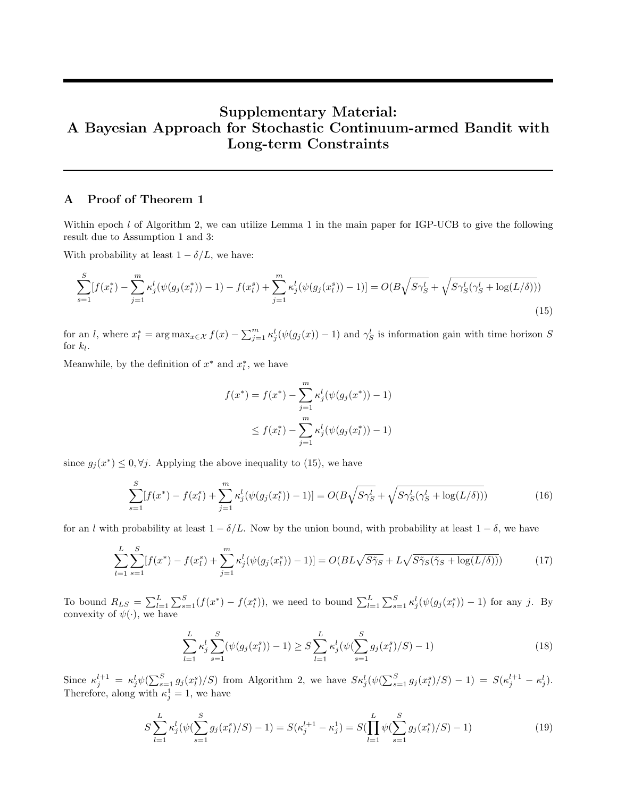# Supplementary Material: A Bayesian Approach for Stochastic Continuum-armed Bandit with Long-term Constraints

# A Proof of Theorem 1

Within epoch  $l$  of Algorithm 2, we can utilize Lemma 1 in the main paper for IGP-UCB to give the following result due to Assumption 1 and 3:

With probability at least  $1 - \delta/L$ , we have:

$$
\sum_{s=1}^{S} [f(x_l^*) - \sum_{j=1}^{m} \kappa_j^l(\psi(g_j(x_l^*)) - 1) - f(x_l^s) + \sum_{j=1}^{m} \kappa_j^l(\psi(g_j(x_l^s)) - 1)] = O(B\sqrt{S\gamma_S^l} + \sqrt{S\gamma_S^l(\gamma_S^l + \log(L/\delta))})
$$
\n(15)

for an l, where  $x_l^* = \arg \max_{x \in \mathcal{X}} f(x) - \sum_{j=1}^m \kappa_j^l(\psi(g_j(x)) - 1)$  and  $\gamma_S^l$  is information gain with time horizon S for  $k_l$ .

Meanwhile, by the definition of  $x^*$  and  $x_l^*$ , we have

$$
f(x^*) = f(x^*) - \sum_{j=1}^m \kappa_j^l(\psi(g_j(x^*)) - 1)
$$
  
 
$$
\leq f(x_l^*) - \sum_{j=1}^m \kappa_j^l(\psi(g_j(x_l^*)) - 1)
$$

since  $g_j(x^*) \leq 0, \forall j$ . Applying the above inequality to (15), we have

$$
\sum_{s=1}^{S} [f(x^*) - f(x_l^s) + \sum_{j=1}^{m} \kappa_j^l(\psi(g_j(x_l^s)) - 1)] = O(B\sqrt{S\gamma_S^l} + \sqrt{S\gamma_S^l(\gamma_S^l + \log(L/\delta))})
$$
(16)

for an l with probability at least  $1 - \delta/L$ . Now by the union bound, with probability at least  $1 - \delta$ , we have

$$
\sum_{l=1}^{L} \sum_{s=1}^{S} [f(x^*) - f(x_l^s) + \sum_{j=1}^{m} \kappa_j^l(\psi(g_j(x_l^s)) - 1)] = O(BL\sqrt{S\tilde{\gamma}_S} + L\sqrt{S\tilde{\gamma}_S(\tilde{\gamma}_S + \log(L/\delta))})
$$
(17)

To bound  $R_{LS} = \sum_{l=1}^{L} \sum_{s=1}^{S} (f(x^*) - f(x_l^s))$ , we need to bound  $\sum_{l=1}^{L} \sum_{s=1}^{S} \kappa_j^l (\psi(g_j(x_l^s)) - 1)$  for any j. By convexity of  $\psi(\cdot)$ , we have

$$
\sum_{l=1}^{L} \kappa_j^l \sum_{s=1}^{S} (\psi(g_j(x_l^s)) - 1) \ge S \sum_{l=1}^{L} \kappa_j^l (\psi(\sum_{s=1}^{S} g_j(x_l^s)/S) - 1)
$$
\n(18)

Since  $\kappa_j^{l+1} = \kappa_j^l \psi(\sum_{s=1}^S g_j(x_l^s)/S)$  from Algorithm 2, we have  $S \kappa_j^l (\psi(\sum_{s=1}^S g_j(x_l^s)/S) - 1) = S(\kappa_j^{l+1} - \kappa_j^l)$ . Therefore, along with  $\kappa_j^1 = 1$ , we have

$$
S\sum_{l=1}^{L} \kappa_j^l(\psi(\sum_{s=1}^{S} g_j(x_l^s)/S) - 1) = S(\kappa_j^{l+1} - \kappa_j^1) = S(\prod_{l=1}^{L} \psi(\sum_{s=1}^{S} g_j(x_l^s)/S) - 1)
$$
(19)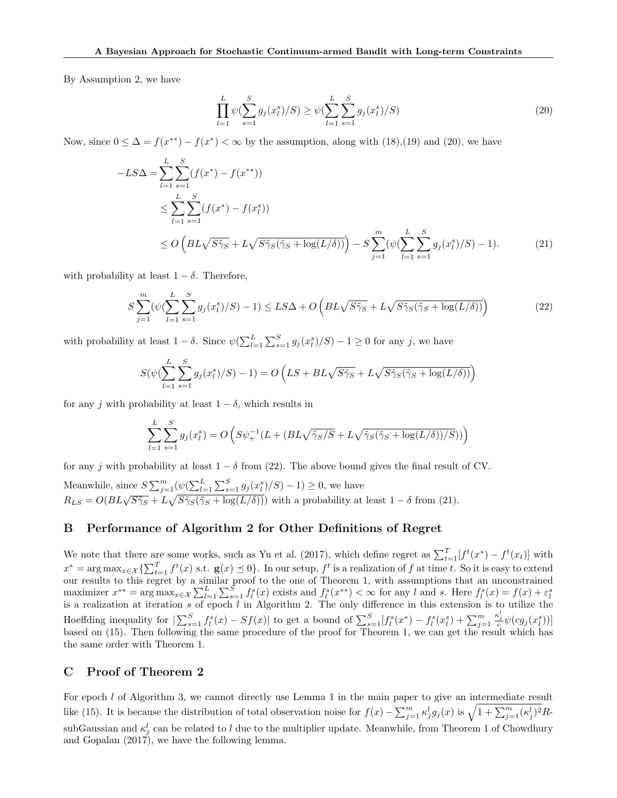By Assumption 2, we have

$$
\prod_{l=1}^{L} \psi(\sum_{s=1}^{S} g_j(x_l^s)/S) \ge \psi(\sum_{l=1}^{L} \sum_{s=1}^{S} g_j(x_l^s)/S)
$$
\n(20)

Now, since  $0 \leq \Delta = f(x^{**}) - f(x^*) < \infty$  by the assumption, along with (18),(19) and (20), we have

$$
-LS\Delta = \sum_{l=1}^{L} \sum_{s=1}^{S} (f(x^*) - f(x^{**}))
$$
  
\n
$$
\leq \sum_{l=1}^{L} \sum_{s=1}^{S} (f(x^*) - f(x_l^*))
$$
  
\n
$$
\leq O\left(BL\sqrt{S\tilde{\gamma}_S} + L\sqrt{S\tilde{\gamma}_S(\tilde{\gamma}_S + \log(L/\delta))}\right) - S\sum_{j=1}^{m} (\psi(\sum_{l=1}^{L} \sum_{s=1}^{S} g_j(x_l^s)/S) - 1).
$$
 (21)

with probability at least  $1 - \delta$ . Therefore,

$$
S\sum_{j=1}^{m}(\psi(\sum_{l=1}^{L}\sum_{s=1}^{S}g_j(x_l^s)/S)-1)\leq LS\Delta + O\left(BL\sqrt{S\tilde{\gamma}_S} + L\sqrt{S\tilde{\gamma}_S(\tilde{\gamma}_S + \log(L/\delta))}\right)
$$
(22)

with probability at least  $1 - \delta$ . Since  $\psi(\sum_{l=1}^{L} \sum_{s=1}^{S} g_j(x_l^s)/S) - 1 \geq 0$  for any j, we have

$$
S(\psi(\sum_{l=1}^{L} \sum_{s=1}^{S} g_j(x_l^s)/S) - 1) = O\left(LS + BL\sqrt{S\tilde{\gamma}_S} + L\sqrt{S\tilde{\gamma}_S(\tilde{\gamma}_S + \log(L/\delta))}\right)
$$

for any j with probability at least  $1 - \delta$ , which results in

$$
\sum_{l=1}^{L} \sum_{s=1}^{S} g_j(x_l^s) = O\left(S\psi_+^{-1}(L + (BL\sqrt{\tilde{\gamma}_S/S} + L\sqrt{\tilde{\gamma}_S(\tilde{\gamma}_S + \log(L/\delta))/S}))\right)
$$

for any j with probability at least  $1 - \delta$  from (22). The above bound gives the final result of CV.

Meanwhile, since  $S \sum_{j=1}^{m} (\psi(\sum_{l=1}^{L} \sum_{s=1}^{S} g_j(x_l^s)/S) - 1) \ge 0$ , we have<br>  $R_{LS} = O(BL\sqrt{S\tilde{\gamma}_S} + L\sqrt{S\tilde{\gamma}_S(S\tilde{\gamma}_S + \log(L/\delta))})$  with a probability at least  $1 - \delta$  from (21).

# B Performance of Algorithm 2 for Other Definitions of Regret

We note that there are some works, such as Yu et al. (2017), which define regret as  $\sum_{t=1}^{T} [f^t(x^*) - f^t(x_t)]$  with  $x^* = \arg \max_{x \in \mathcal{X}} \{\sum_{t=1}^T f^t(x) \text{ s.t. } \mathbf{g}(x) \leq 0\}.$  In our setup,  $f^t$  is a realization of f at time t. So it is easy to extend our results to this regret by a similar proof to the one of Theorem 1, with assumptions that an unconstrained maximizer  $x^{**} = \arg \max_{x \in \mathcal{X}} \sum_{l=1}^{L} \sum_{s=1}^{S} f_l^s(x)$  exists and  $f_l^s(x^{**}) < \infty$  for any l and s. Here  $f_l^s(x) = f(x) + \varepsilon_l^s$  is a realization at iteration s of epoch l in Algorithm 2. The only difference in this extensi Hoeffding inequality for  $|\sum_{s=1}^{S} f_l^s(x) - Sf(x)|$  to get a bound of  $\sum_{s=1}^{S} [f_l^s(x^*) - f_l^s(x_l^s) + \sum_{j=1}^{m} f_l^s(x_j^s)]$  $\frac{\kappa_j^{\iota}}{c}\psi(cg_j(x_l^s))]$ based on (15). Then following the same procedure of the proof for Theorem 1, we can get the result which has the same order with Theorem 1.

# C Proof of Theorem 2

For epoch  $l$  of Algorithm 3, we cannot directly use Lemma 1 in the main paper to give an intermediate result like (15). It is because the distribution of total observation noise for  $f(x) - \sum_{j=1}^{m} \kappa_j^l g_j(x)$  is  $\sqrt{1 + \sum_{j=1}^{m} (\kappa_j^l)^2} R$ subGaussian and  $\kappa_j^l$  can be related to l due to the multiplier update. Meanwhile, from Theorem 1 of Chowdhury and Gopalan  $(2017)$ , we have the following lemma.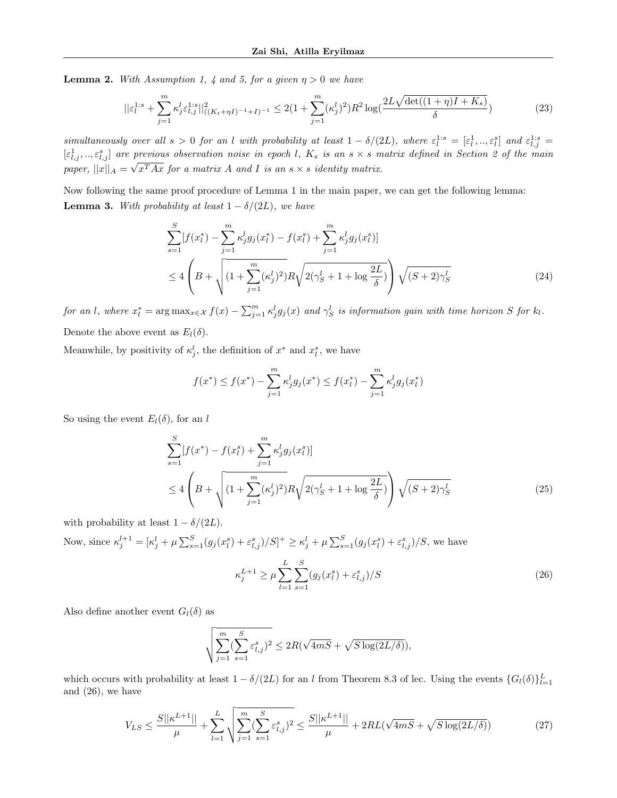**Lemma 2.** With Assumption 1, 4 and 5, for a given  $\eta > 0$  we have

$$
||\varepsilon_l^{1:s} + \sum_{j=1}^m \kappa_j^l \varepsilon_{l,j}^{1:s}||_{((K_t + \eta I)^{-1} + I)^{-1}}^2 \le 2\left(1 + \sum_{j=1}^m (\kappa_j^l)^2\right)R^2 \log\left(\frac{2L\sqrt{\det((1 + \eta)I + K_s)}}{\delta}\right) \tag{23}
$$

simultaneously over all  $s > 0$  for an l with probability at least  $1 - \delta/(2L)$ , where  $\varepsilon_l^{1:s} = [\varepsilon_l^1, ..., \varepsilon_l^s]$  and  $\varepsilon_{l,j}^{1:s} =$  $[\varepsilon_{l,j}^1, ..., \varepsilon_{l,j}^s]$  are previous observation noise in epoch l,  $K_s$  is an  $s \times s$  matrix defined in Section 2 of the main paper,  $||x||_A = \sqrt{x^T A x}$  for a matrix A and I is an  $s \times s$  identity matrix.

Now following the same proof procedure of Lemma 1 in the main paper, we can get the following lemma: **Lemma 3.** With probability at least  $1 - \delta/(2L)$ , we have

$$
\sum_{s=1}^{S} [f(x_l^*) - \sum_{j=1}^{m} \kappa_j^l g_j(x_l^*) - f(x_l^s) + \sum_{j=1}^{m} \kappa_j^l g_j(x_l^s)]
$$
  
\n
$$
\leq 4 \left( B + \sqrt{\left(1 + \sum_{j=1}^{m} (\kappa_j^l)^2\right) R \sqrt{2(\gamma_S^l + 1 + \log \frac{2L}{\delta})}} \right) \sqrt{(S+2)\gamma_S^l}
$$
\n(24)

for an l, where  $x_l^* = \arg \max_{x \in \mathcal{X}} f(x) - \sum_{j=1}^m \kappa_j^l g_j(x)$  and  $\gamma_S^l$  is information gain with time horizon S for  $k_l$ . Denote the above event as  $E_l(\delta)$ .

Meanwhile, by positivity of  $\kappa_j^l$ , the definition of  $x^*$  and  $x_l^*$ , we have

$$
f(x^*) \le f(x^*) - \sum_{j=1}^m \kappa_j^l g_j(x^*) \le f(x_l^*) - \sum_{j=1}^m \kappa_j^l g_j(x_l^*)
$$

So using the event  $E_l(\delta)$ , for an l

$$
\sum_{s=1}^{S} [f(x^*) - f(x_l^s) + \sum_{j=1}^{m} \kappa_j^l g_j(x_l^s)]
$$
  
\n
$$
\leq 4 \left( B + \sqrt{\left(1 + \sum_{j=1}^{m} (\kappa_j^l)^2\right) R \sqrt{2(\gamma_S^l + 1 + \log \frac{2L}{\delta})}} \right) \sqrt{(S + 2)\gamma_S^l}
$$
\n(25)

with probability at least  $1 - \delta/(2L)$ .

Now, since  $\kappa_j^{l+1} = [\kappa_j^l + \mu \sum_{s=1}^S (g_j(x_l^s) + \varepsilon_{l,j}^s)/S]^+ \geq \kappa_j^l + \mu \sum_{s=1}^S (g_j(x_l^s) + \varepsilon_{l,j}^s)/S$ , we have

$$
\kappa_j^{L+1} \ge \mu \sum_{l=1}^L \sum_{s=1}^S (g_j(x_l^s) + \varepsilon_{l,j}^s)/S
$$
\n(26)

Also define another event  $G_l(\delta)$  as

$$
\sqrt{\sum_{j=1}^m(\sum_{s=1}^S\varepsilon_{l,j}^s)^2}\le 2R(\sqrt{4mS}+\sqrt{S\log(2L/\delta)}),
$$

which occurs with probability at least  $1 - \delta/(2L)$  for an l from Theorem 8.3 of lec. Using the events  $\{G_l(\delta)\}_{l=1}^L$ and (26), we have

$$
V_{LS} \le \frac{S||\kappa^{L+1}||}{\mu} + \sum_{l=1}^{L} \sqrt{\sum_{j=1}^{m} (\sum_{s=1}^{S} \varepsilon_{l,j}^s)^2} \le \frac{S||\kappa^{L+1}||}{\mu} + 2RL(\sqrt{4mS} + \sqrt{S \log(2L/\delta)})
$$
(27)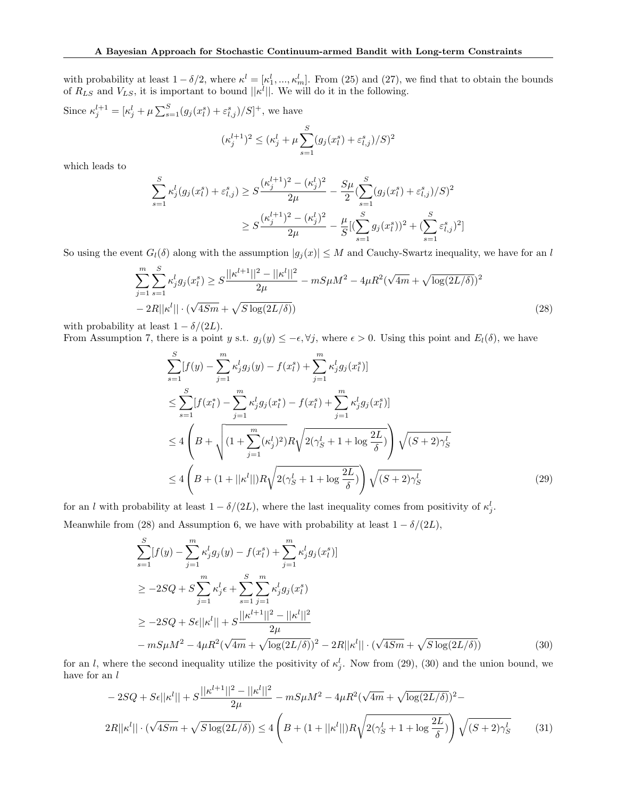with probability at least  $1 - \delta/2$ , where  $\kappa^l = [\kappa_1^l, ..., \kappa_m^l]$ . From (25) and (27), we find that to obtain the bounds of  $R_{LS}$  and  $V_{LS}$ , it is important to bound  $||\kappa^l||$ . We will do it in the following.

Since  $\kappa_j^{l+1} = [\kappa_j^l + \mu \sum_{s=1}^S (g_j(x_l^s) + \varepsilon_{l,j}^s)/S]^+$ , we have

$$
(\kappa_j^{l+1})^2 \leq (\kappa_j^l + \mu \sum_{s=1}^S (g_j(x_l^s) + \varepsilon_{l,j}^s)/S)^2
$$

which leads to

$$
\sum_{s=1}^{S} \kappa_j^l(g_j(x_l^s) + \varepsilon_{l,j}^s) \ge S \frac{(\kappa_j^{l+1})^2 - (\kappa_j^l)^2}{2\mu} - \frac{S\mu}{2} \left( \sum_{s=1}^{S} (g_j(x_l^s) + \varepsilon_{l,j}^s) / S \right)^2
$$
  

$$
\ge S \frac{(\kappa_j^{l+1})^2 - (\kappa_j^l)^2}{2\mu} - \frac{\mu}{S} \left[ \left( \sum_{s=1}^{S} g_j(x_l^s) \right)^2 + \left( \sum_{s=1}^{S} \varepsilon_{l,j}^s \right)^2 \right]
$$

So using the event  $G_l(\delta)$  along with the assumption  $|g_j(x)| \leq M$  and Cauchy-Swartz inequality, we have for an l

$$
\sum_{j=1}^{m} \sum_{s=1}^{S} \kappa_j^l g_j(x_l^s) \ge S \frac{||\kappa^{l+1}||^2 - ||\kappa^l||^2}{2\mu} - mS\mu M^2 - 4\mu R^2 (\sqrt{4m} + \sqrt{\log(2L/\delta)})^2 - 2R||\kappa^l|| \cdot (\sqrt{4Sm} + \sqrt{S\log(2L/\delta)})
$$
\n(28)

with probability at least  $1 - \delta/(2L)$ .

From Assumption 7, there is a point y s.t.  $g_j(y) \leq -\epsilon$ ,  $\forall j$ , where  $\epsilon > 0$ . Using this point and  $E_l(\delta)$ , we have

$$
\sum_{s=1}^{S} [f(y) - \sum_{j=1}^{m} \kappa_j^l g_j(y) - f(x_l^s) + \sum_{j=1}^{m} \kappa_j^l g_j(x_l^s)]
$$
  
\n
$$
\leq \sum_{s=1}^{S} [f(x_l^*) - \sum_{j=1}^{m} \kappa_j^l g_j(x_l^*) - f(x_l^s) + \sum_{j=1}^{m} \kappa_j^l g_j(x_l^s)]
$$
  
\n
$$
\leq 4 \left( B + \sqrt{\left(1 + \sum_{j=1}^{m} (\kappa_j^l)^2\right) R \sqrt{2(\gamma_S^l + 1 + \log \frac{2L}{\delta})}} \right) \sqrt{(S + 2)\gamma_S^l}
$$
  
\n
$$
\leq 4 \left( B + (1 + ||\kappa^l||) R \sqrt{2(\gamma_S^l + 1 + \log \frac{2L}{\delta})} \right) \sqrt{(S + 2)\gamma_S^l}
$$
\n(29)

for an l with probability at least  $1 - \delta/(2L)$ , where the last inequality comes from positivity of  $\kappa_j^l$ . Meanwhile from (28) and Assumption 6, we have with probability at least  $1 - \delta/(2L)$ ,

$$
\sum_{s=1}^{S} [f(y) - \sum_{j=1}^{m} \kappa_j^l g_j(y) - f(x_l^s) + \sum_{j=1}^{m} \kappa_j^l g_j(x_l^s)]
$$
  
\n
$$
\geq -2SQ + S \sum_{j=1}^{m} \kappa_j^l \epsilon + \sum_{s=1}^{S} \sum_{j=1}^{m} \kappa_j^l g_j(x_l^s)
$$
  
\n
$$
\geq -2SQ + S\epsilon ||\kappa^l|| + S \frac{||\kappa^{l+1}||^2 - ||\kappa^l||^2}{2\mu}
$$
  
\n
$$
- mS\mu M^2 - 4\mu R^2(\sqrt{4m} + \sqrt{\log(2L/\delta)})^2 - 2R||\kappa^l|| \cdot (\sqrt{4Sm} + \sqrt{S\log(2L/\delta)})
$$
 (30)

for an l, where the second inequality utilize the positivity of  $\kappa_j^l$ . Now from (29), (30) and the union bound, we have for an  $l$ 

$$
-2SQ + S\epsilon ||\kappa^l|| + S\frac{||\kappa^{l+1}||^2 - ||\kappa^l||^2}{2\mu} - mS\mu M^2 - 4\mu R^2(\sqrt{4m} + \sqrt{\log(2L/\delta)})^2 - 2R||\kappa^l|| \cdot (\sqrt{4Sm} + \sqrt{S\log(2L/\delta)}) \le 4\left(B + (1 + ||\kappa^l||)R\sqrt{2(\gamma_S^l + 1 + \log\frac{2L}{\delta})}\right)\sqrt{(S+2)\gamma_S^l}
$$
(31)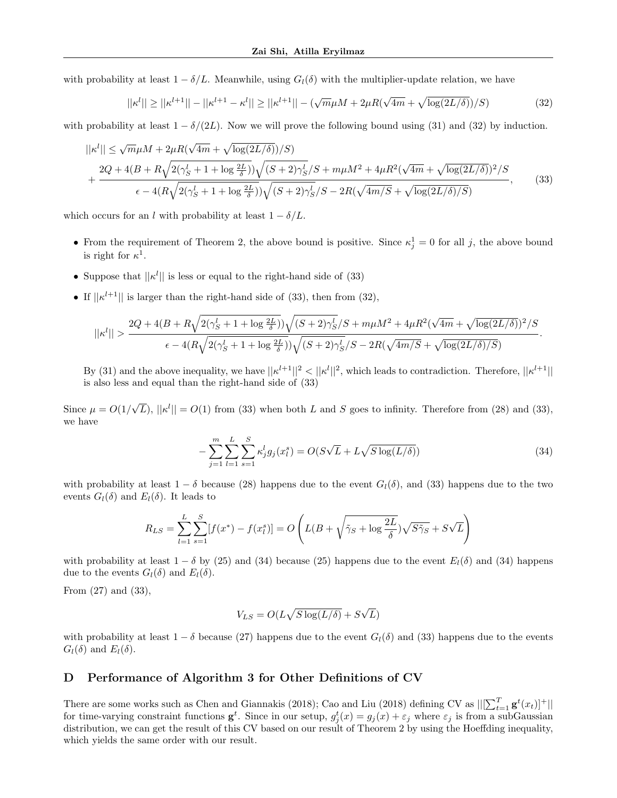with probability at least  $1 - \delta/L$ . Meanwhile, using  $G_l(\delta)$  with the multiplier-update relation, we have

$$
||\kappa^{l}|| \ge ||\kappa^{l+1}|| - ||\kappa^{l+1} - \kappa^{l}|| \ge ||\kappa^{l+1}|| - (\sqrt{m}\mu M + 2\mu R(\sqrt{4m} + \sqrt{\log(2L/\delta)})/S) \tag{32}
$$

with probability at least  $1 - \delta/(2L)$ . Now we will prove the following bound using (31) and (32) by induction.

$$
||\kappa^{l}|| \leq \sqrt{m}\mu M + 2\mu R(\sqrt{4m} + \sqrt{\log(2L/\delta)})/S)
$$
  
+ 
$$
\frac{2Q + 4(B + R\sqrt{2(\gamma_S^l + 1 + \log \frac{2L}{\delta})})\sqrt{(S + 2)\gamma_S^l/S} + m\mu M^2 + 4\mu R^2(\sqrt{4m} + \sqrt{\log(2L/\delta)})^2/S}{\epsilon - 4(R\sqrt{2(\gamma_S^l + 1 + \log \frac{2L}{\delta})})\sqrt{(S + 2)\gamma_S^l/S} - 2R(\sqrt{4m/S} + \sqrt{\log(2L/\delta)/S})},
$$
(33)

which occurs for an l with probability at least  $1 - \delta/L$ .

- From the requirement of Theorem 2, the above bound is positive. Since  $\kappa_j^1 = 0$  for all j, the above bound is right for  $\kappa^1$ .
- Suppose that  $||\kappa^l||$  is less or equal to the right-hand side of (33)
- If  $||\kappa^{l+1}||$  is larger than the right-hand side of (33), then from (32),

$$
||\kappa^l||> \frac{2Q+4(B+R\sqrt{2(\gamma_S^l+1+\log \frac{2L}{\delta})})\sqrt{(S+2)\gamma_S^l}/S+m\mu M^2+4\mu R^2(\sqrt{4m}+\sqrt{\log(2L/\delta)})^2/S}}{\epsilon-4(R\sqrt{2(\gamma_S^l+1+\log \frac{2L}{\delta})})\sqrt{(S+2)\gamma_S^l}/S-2R(\sqrt{4m/S}+\sqrt{\log(2L/\delta)/S})}.
$$

By (31) and the above inequality, we have  $||\kappa^{l+1}||^2 < ||\kappa^l||^2$ , which leads to contradiction. Therefore,  $||\kappa^{l+1}||$ is also less and equal than the right-hand side of (33)

Since  $\mu = O(1/$ √  $\overline{L}$ ),  $||\kappa^l|| = O(1)$  from (33) when both L and S goes to infinity. Therefore from (28) and (33), we have

$$
-\sum_{j=1}^{m} \sum_{l=1}^{L} \sum_{s=1}^{S} \kappa_j^l g_j(x_l^s) = O(S\sqrt{L} + L\sqrt{S\log(L/\delta)})
$$
\n(34)

with probability at least  $1 - \delta$  because (28) happens due to the event  $G_l(\delta)$ , and (33) happens due to the two events  $G_l(\delta)$  and  $E_l(\delta)$ . It leads to

$$
R_{LS} = \sum_{l=1}^{L} \sum_{s=1}^{S} [f(x^*) - f(x_l^s)] = O\left(L(B + \sqrt{\tilde{\gamma}_S + \log \frac{2L}{\delta}}) \sqrt{S\tilde{\gamma}_S} + S\sqrt{L}\right)
$$

with probability at least  $1 - \delta$  by (25) and (34) because (25) happens due to the event  $E_l(\delta)$  and (34) happens due to the events  $G_l(\delta)$  and  $E_l(\delta)$ .

From (27) and (33),

$$
V_{LS} = O(L\sqrt{S\log(L/\delta)} + S\sqrt{L})
$$

with probability at least  $1 - \delta$  because (27) happens due to the event  $G_l(\delta)$  and (33) happens due to the events  $G_l(\delta)$  and  $E_l(\delta)$ .

## D Performance of Algorithm 3 for Other Definitions of CV

There are some works such as Chen and Giannakis (2018); Cao and Liu (2018) defining CV as  $||[\sum_{t=1}^{T} \mathbf{g}^t(x_t)]^+||$ for time-varying constraint functions  $\mathbf{g}^t$ . Since in our setup,  $g_j^t(x) = g_j(x) + \varepsilon_j$  where  $\varepsilon_j$  is from a subGaussian distribution, we can get the result of this CV based on our result of Theorem 2 by using the Hoeffding inequality, which yields the same order with our result.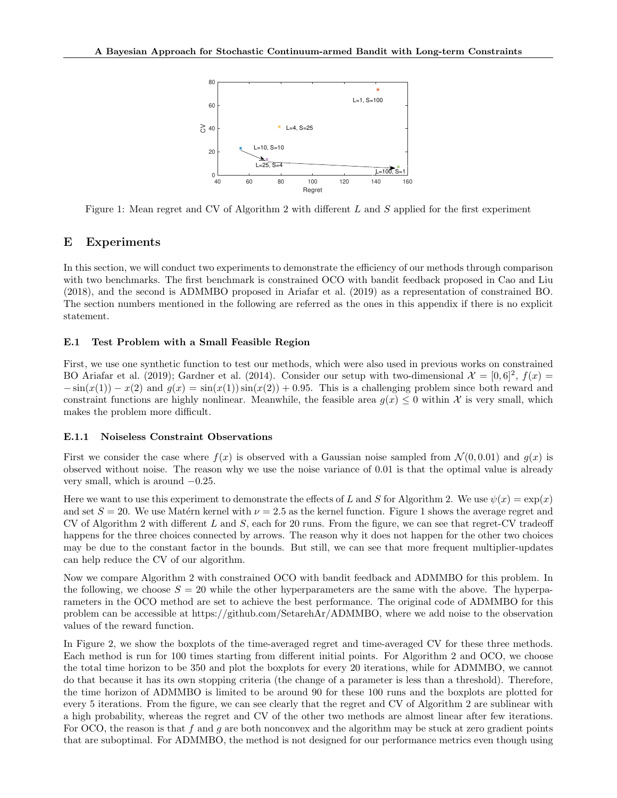

Figure 1: Mean regret and CV of Algorithm 2 with different L and S applied for the first experiment

# E Experiments

In this section, we will conduct two experiments to demonstrate the efficiency of our methods through comparison with two benchmarks. The first benchmark is constrained OCO with bandit feedback proposed in Cao and Liu (2018), and the second is ADMMBO proposed in Ariafar et al. (2019) as a representation of constrained BO. The section numbers mentioned in the following are referred as the ones in this appendix if there is no explicit statement.

## E.1 Test Problem with a Small Feasible Region

First, we use one synthetic function to test our methods, which were also used in previous works on constrained BO Ariafar et al. (2019); Gardner et al. (2014). Consider our setup with two-dimensional  $\mathcal{X} = [0,6]^2$ ,  $f(x) =$  $-\sin(x(1)) - x(2)$  and  $g(x) = \sin(x(1))\sin(x(2)) + 0.95$ . This is a challenging problem since both reward and constraint functions are highly nonlinear. Meanwhile, the feasible area  $g(x) \leq 0$  within X is very small, which makes the problem more difficult.

#### E.1.1 Noiseless Constraint Observations

First we consider the case where  $f(x)$  is observed with a Gaussian noise sampled from  $\mathcal{N}(0, 0.01)$  and  $q(x)$  is observed without noise. The reason why we use the noise variance of 0.01 is that the optimal value is already very small, which is around  $-0.25$ .

Here we want to use this experiment to demonstrate the effects of L and S for Algorithm 2. We use  $\psi(x) = \exp(x)$ and set  $S = 20$ . We use Matérn kernel with  $\nu = 2.5$  as the kernel function. Figure 1 shows the average regret and CV of Algorithm 2 with different L and S, each for 20 runs. From the figure, we can see that regret-CV tradeoff happens for the three choices connected by arrows. The reason why it does not happen for the other two choices may be due to the constant factor in the bounds. But still, we can see that more frequent multiplier-updates can help reduce the CV of our algorithm.

Now we compare Algorithm 2 with constrained OCO with bandit feedback and ADMMBO for this problem. In the following, we choose  $S = 20$  while the other hyperparameters are the same with the above. The hyperparameters in the OCO method are set to achieve the best performance. The original code of ADMMBO for this problem can be accessible at https://github.com/SetarehAr/ADMMBO, where we add noise to the observation values of the reward function.

In Figure 2, we show the boxplots of the time-averaged regret and time-averaged CV for these three methods. Each method is run for 100 times starting from different initial points. For Algorithm 2 and OCO, we choose the total time horizon to be 350 and plot the boxplots for every 20 iterations, while for ADMMBO, we cannot do that because it has its own stopping criteria (the change of a parameter is less than a threshold). Therefore, the time horizon of ADMMBO is limited to be around 90 for these 100 runs and the boxplots are plotted for every 5 iterations. From the figure, we can see clearly that the regret and CV of Algorithm 2 are sublinear with a high probability, whereas the regret and CV of the other two methods are almost linear after few iterations. For OCO, the reason is that f and q are both nonconvex and the algorithm may be stuck at zero gradient points that are suboptimal. For ADMMBO, the method is not designed for our performance metrics even though using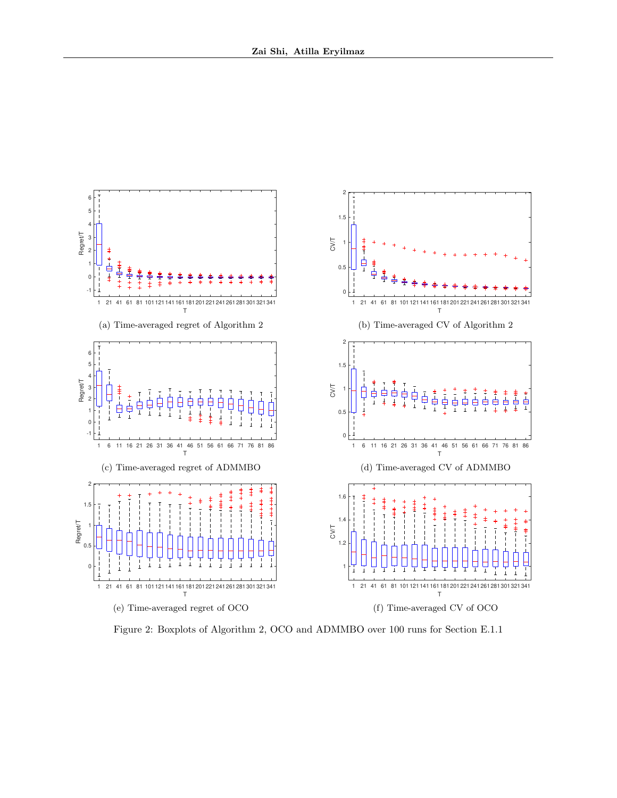

Figure 2: Boxplots of Algorithm 2, OCO and ADMMBO over 100 runs for Section E.1.1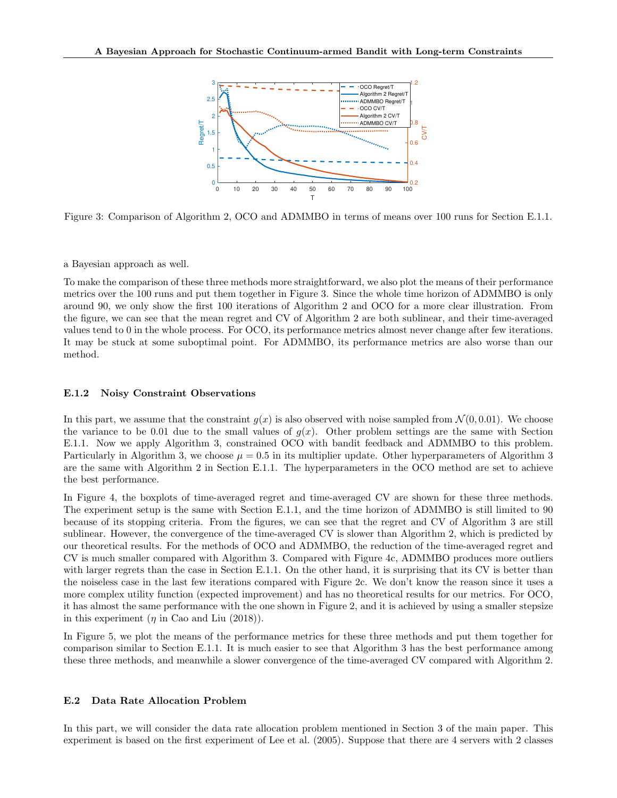

Figure 3: Comparison of Algorithm 2, OCO and ADMMBO in terms of means over 100 runs for Section E.1.1.

a Bayesian approach as well.

To make the comparison of these three methods more straightforward, we also plot the means of their performance metrics over the 100 runs and put them together in Figure 3. Since the whole time horizon of ADMMBO is only around 90, we only show the first 100 iterations of Algorithm 2 and OCO for a more clear illustration. From the figure, we can see that the mean regret and CV of Algorithm 2 are both sublinear, and their time-averaged values tend to 0 in the whole process. For OCO, its performance metrics almost never change after few iterations. It may be stuck at some suboptimal point. For ADMMBO, its performance metrics are also worse than our method.

#### E.1.2 Noisy Constraint Observations

In this part, we assume that the constraint  $g(x)$  is also observed with noise sampled from  $\mathcal{N}(0, 0.01)$ . We choose the variance to be 0.01 due to the small values of  $g(x)$ . Other problem settings are the same with Section E.1.1. Now we apply Algorithm 3, constrained OCO with bandit feedback and ADMMBO to this problem. Particularly in Algorithm 3, we choose  $\mu = 0.5$  in its multiplier update. Other hyperparameters of Algorithm 3 are the same with Algorithm 2 in Section E.1.1. The hyperparameters in the OCO method are set to achieve the best performance.

In Figure 4, the boxplots of time-averaged regret and time-averaged CV are shown for these three methods. The experiment setup is the same with Section E.1.1, and the time horizon of ADMMBO is still limited to 90 because of its stopping criteria. From the figures, we can see that the regret and CV of Algorithm 3 are still sublinear. However, the convergence of the time-averaged CV is slower than Algorithm 2, which is predicted by our theoretical results. For the methods of OCO and ADMMBO, the reduction of the time-averaged regret and CV is much smaller compared with Algorithm 3. Compared with Figure 4c, ADMMBO produces more outliers with larger regrets than the case in Section E.1.1. On the other hand, it is surprising that its CV is better than the noiseless case in the last few iterations compared with Figure 2c. We don't know the reason since it uses a more complex utility function (expected improvement) and has no theoretical results for our metrics. For OCO, it has almost the same performance with the one shown in Figure 2, and it is achieved by using a smaller stepsize in this experiment  $(\eta$  in Cao and Liu (2018)).

In Figure 5, we plot the means of the performance metrics for these three methods and put them together for comparison similar to Section E.1.1. It is much easier to see that Algorithm 3 has the best performance among these three methods, and meanwhile a slower convergence of the time-averaged CV compared with Algorithm 2.

#### E.2 Data Rate Allocation Problem

In this part, we will consider the data rate allocation problem mentioned in Section 3 of the main paper. This experiment is based on the first experiment of Lee et al. (2005). Suppose that there are 4 servers with 2 classes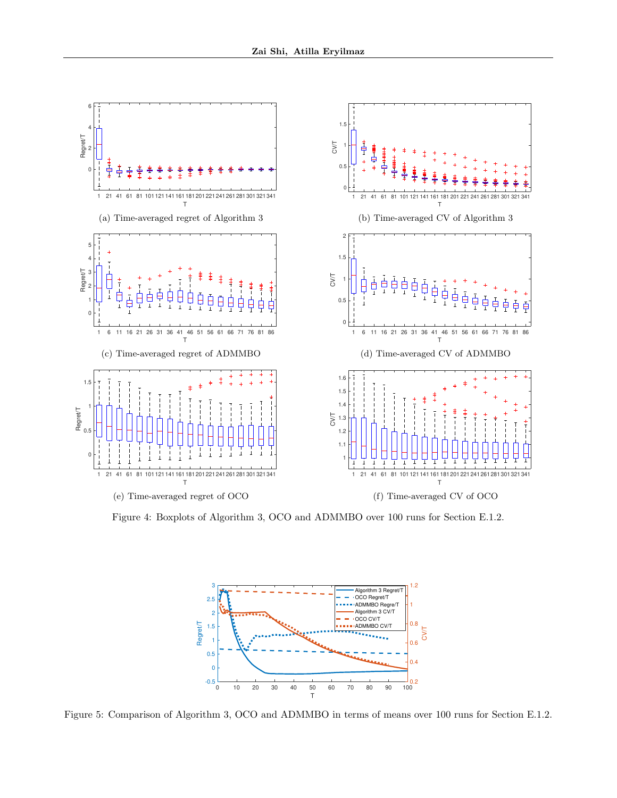

Figure 4: Boxplots of Algorithm 3, OCO and ADMMBO over 100 runs for Section E.1.2.



Figure 5: Comparison of Algorithm 3, OCO and ADMMBO in terms of means over 100 runs for Section E.1.2.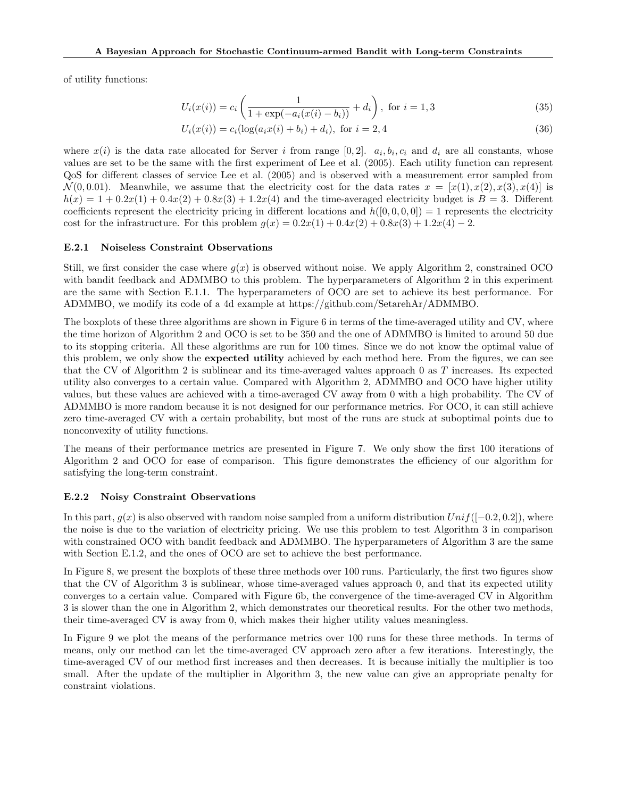of utility functions:

$$
U_i(x(i)) = c_i \left( \frac{1}{1 + \exp(-a_i(x(i) - b_i))} + d_i \right), \text{ for } i = 1, 3
$$
 (35)

$$
U_i(x(i)) = c_i(\log(a_i x(i) + b_i) + d_i), \text{ for } i = 2, 4
$$
\n(36)

where  $x(i)$  is the data rate allocated for Server i from range [0,2].  $a_i, b_i, c_i$  and  $d_i$  are all constants, whose values are set to be the same with the first experiment of Lee et al. (2005). Each utility function can represent QoS for different classes of service Lee et al. (2005) and is observed with a measurement error sampled from  $\mathcal{N}(0, 0.01)$ . Meanwhile, we assume that the electricity cost for the data rates  $x = [x(1), x(2), x(3), x(4)]$  is  $h(x) = 1 + 0.2x(1) + 0.4x(2) + 0.8x(3) + 1.2x(4)$  and the time-averaged electricity budget is  $B = 3$ . Different coefficients represent the electricity pricing in different locations and  $h([0, 0, 0, 0]) = 1$  represents the electricity cost for the infrastructure. For this problem  $g(x) = 0.2x(1) + 0.4x(2) + 0.8x(3) + 1.2x(4) - 2$ .

#### E.2.1 Noiseless Constraint Observations

Still, we first consider the case where  $q(x)$  is observed without noise. We apply Algorithm 2, constrained OCO with bandit feedback and ADMMBO to this problem. The hyperparameters of Algorithm 2 in this experiment are the same with Section E.1.1. The hyperparameters of OCO are set to achieve its best performance. For ADMMBO, we modify its code of a 4d example at https://github.com/SetarehAr/ADMMBO.

The boxplots of these three algorithms are shown in Figure 6 in terms of the time-averaged utility and CV, where the time horizon of Algorithm 2 and OCO is set to be 350 and the one of ADMMBO is limited to around 50 due to its stopping criteria. All these algorithms are run for 100 times. Since we do not know the optimal value of this problem, we only show the **expected utility** achieved by each method here. From the figures, we can see that the CV of Algorithm 2 is sublinear and its time-averaged values approach 0 as T increases. Its expected utility also converges to a certain value. Compared with Algorithm 2, ADMMBO and OCO have higher utility values, but these values are achieved with a time-averaged CV away from 0 with a high probability. The CV of ADMMBO is more random because it is not designed for our performance metrics. For OCO, it can still achieve zero time-averaged CV with a certain probability, but most of the runs are stuck at suboptimal points due to nonconvexity of utility functions.

The means of their performance metrics are presented in Figure 7. We only show the first 100 iterations of Algorithm 2 and OCO for ease of comparison. This figure demonstrates the efficiency of our algorithm for satisfying the long-term constraint.

#### E.2.2 Noisy Constraint Observations

In this part,  $g(x)$  is also observed with random noise sampled from a uniform distribution  $Unif([-0.2, 0.2])$ , where the noise is due to the variation of electricity pricing. We use this problem to test Algorithm 3 in comparison with constrained OCO with bandit feedback and ADMMBO. The hyperparameters of Algorithm 3 are the same with Section E.1.2, and the ones of OCO are set to achieve the best performance.

In Figure 8, we present the boxplots of these three methods over 100 runs. Particularly, the first two figures show that the CV of Algorithm 3 is sublinear, whose time-averaged values approach 0, and that its expected utility converges to a certain value. Compared with Figure 6b, the convergence of the time-averaged CV in Algorithm 3 is slower than the one in Algorithm 2, which demonstrates our theoretical results. For the other two methods, their time-averaged CV is away from 0, which makes their higher utility values meaningless.

In Figure 9 we plot the means of the performance metrics over 100 runs for these three methods. In terms of means, only our method can let the time-averaged CV approach zero after a few iterations. Interestingly, the time-averaged CV of our method first increases and then decreases. It is because initially the multiplier is too small. After the update of the multiplier in Algorithm 3, the new value can give an appropriate penalty for constraint violations.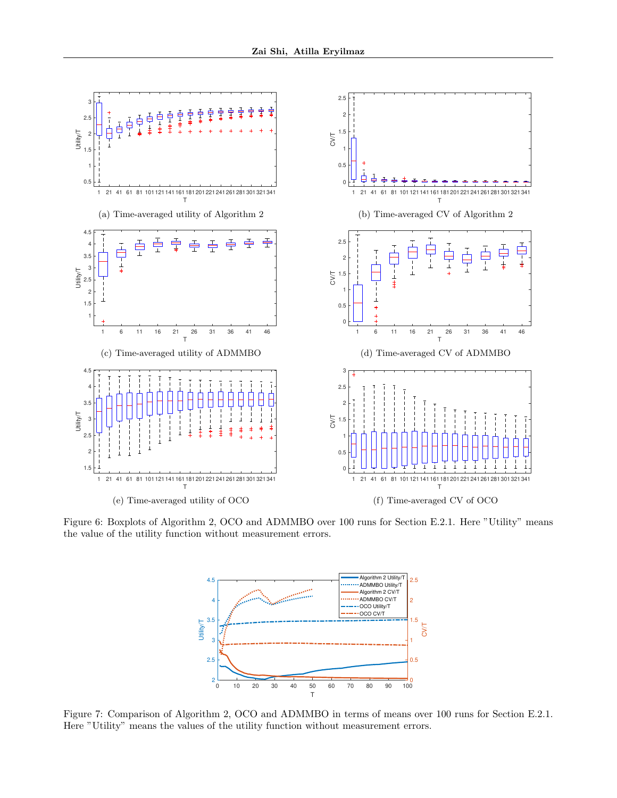

Figure 6: Boxplots of Algorithm 2, OCO and ADMMBO over 100 runs for Section E.2.1. Here "Utility" means the value of the utility function without measurement errors.



Figure 7: Comparison of Algorithm 2, OCO and ADMMBO in terms of means over 100 runs for Section E.2.1. Here "Utility" means the values of the utility function without measurement errors.